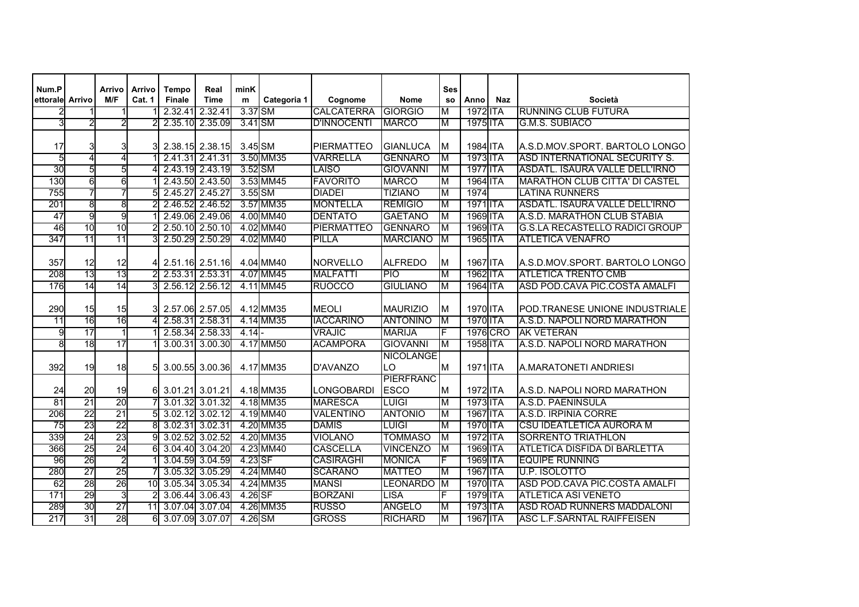| Num.P           |                  | Arrivo          | Arrivo | <b>Tempo</b>  | Real            | minK      |             |                    |                  | <b>Ses</b> |                 |            |                                       |
|-----------------|------------------|-----------------|--------|---------------|-----------------|-----------|-------------|--------------------|------------------|------------|-----------------|------------|---------------------------------------|
| ettorale Arrivo |                  | M/F             | Cat. 1 | <b>Finale</b> | <b>Time</b>     | ${\bf m}$ | Categoria 1 | Cognome            | <b>Nome</b>      | <b>SO</b>  | Anno            | <b>Naz</b> | <b>Società</b>                        |
|                 |                  |                 |        | 2.32.41       | 2.32.41         | 3.37 SM   |             | <b>CALCATERRA</b>  | <b>GIORGIO</b>   | M          | 1972 ITA        |            | <b>RUNNING CLUB FUTURA</b>            |
| 31              | $\overline{2}$   | $\overline{2}$  |        |               | 2.35.10 2.35.09 | 3.41 SM   |             | <b>D'INNOCENTI</b> | <b>MARCO</b>     | M          | 1975 ITA        |            | <b>G.M.S. SUBIACO</b>                 |
|                 |                  |                 |        |               |                 |           |             |                    |                  |            |                 |            |                                       |
| 17              | 3                | 31              |        |               | 2.38.15 2.38.15 | 3.45 SM   |             | <b>PIERMATTEO</b>  | <b>GIANLUCA</b>  | M          | 1984 ITA        |            | A.S.D.MOV.SPORT. BARTOLO LONGO        |
| 5               | $\overline{4}$   | $\overline{4}$  |        | 2.41.31       | 2.41.31         |           | 3.50 MM35   | VARRELLA           | <b>GENNARO</b>   | M          | 1973 ITA        |            | <b>ASD INTERNATIONAL SECURITY S.</b>  |
| 30              | 5                | 5               |        |               | 2.43.19 2.43.19 | 3.52 SM   |             | LAISO              | <b>GIOVANNI</b>  | M          | <b>1977 ITA</b> |            | ASDATL. ISAURA VALLE DELL'IRNO        |
| 130             | $6 \overline{6}$ | 6               |        | 2.43.50       | 2.43.50         |           | 3.53 MM45   | <b>FAVORITO</b>    | <b>MARCO</b>     | М          | 1964 ITA        |            | <b>MARATHON CLUB CITTA' DI CASTEL</b> |
| 755             | $\overline{7}$   | 7               | 5      | 2.45.27       | 2.45.27         | 3.55 SM   |             | <b>DIADEI</b>      | <b>TIZIANO</b>   | M          | 1974            |            | <b>LATINA RUNNERS</b>                 |
| 201             | 8                | 8               |        | 2.46.52       | 2.46.52         |           | 3.57 MM35   | <b>MONTELLA</b>    | <b>REMIGIO</b>   | M          | 1971 ITA        |            | ASDATL. ISAURA VALLE DELL'IRNO        |
| 47              | g                | 9               |        | 2.49.06       | 2.49.06         |           | 4.00 MM40   | <b>DENTATO</b>     | <b>GAETANO</b>   | M          | 1969 ITA        |            | A.S.D. MARATHON CLUB STABIA           |
| 46              | 10               | 10              |        |               | 2.50.10 2.50.10 |           | 4.02 MM40   | <b>PIERMATTEO</b>  | <b>GENNARO</b>   | M          | 1969 ITA        |            | <b>G.S.LA RECASTELLO RADICI GROUP</b> |
| 347             | 11               | 11              |        | 2.50.29       | 2.50.29         |           | 4.02 MM40   | <b>PILLA</b>       | <b>MARCIANO</b>  | M          | 1965 ITA        |            | <b>ATLETICA VENAFRO</b>               |
|                 |                  |                 |        |               |                 |           |             |                    |                  |            |                 |            |                                       |
| 357             | 12               | 12              | 41     |               | 2.51.16 2.51.16 |           | 4.04 MM40   | <b>NORVELLO</b>    | <b>ALFREDO</b>   | M          | 1967 ITA        |            | A.S.D.MOV.SPORT. BARTOLO LONGO        |
| 208             | 13               | 13              |        |               | 2.53.31 2.53.31 |           | 4.07 MM45   | <b>MALFATTI</b>    | $\overline{P}$   | M          | 1962 ITA        |            | <b>ATLETICA TRENTO CMB</b>            |
| 176             | 14               | 14              |        |               | 2.56.12 2.56.12 |           | 4.11 MM45   | <b>RUOCCO</b>      | <b>GIULIANO</b>  | M          | 1964 ITA        |            | ASD POD.CAVA PIC.COSTA AMALFI         |
|                 |                  |                 |        |               |                 |           |             |                    |                  |            |                 |            |                                       |
| 290             | 15               | 15              | 3      |               | 2.57.06 2.57.05 |           | 4.12 MM35   | <b>MEOLI</b>       | <b>MAURIZIO</b>  | M          | 1970 ITA        |            | POD.TRANESE UNIONE INDUSTRIALE        |
| 11              | 16               | 16              |        |               | 2.58.31 2.58.31 |           | 4.14 MM35   | <b>IACCARINO</b>   | <b>ANTONINO</b>  | M          | 1970 ITA        |            | A.S.D. NAPOLI NORD MARATHON           |
| 9               | $\overline{17}$  | $\mathbf 1$     |        |               | 2.58.34 2.58.33 | 4.14      |             | <b>VRAJIC</b>      | <b>MARIJA</b>    | F          | 1976 CRO        |            | <b>AK VETERAN</b>                     |
| 8               | 18               | $\overline{17}$ |        |               | 3.00.31 3.00.30 |           | 4.17 MM50   | <b>ACAMPORA</b>    | <b>GIOVANNI</b>  | M          | 1958 ITA        |            | A.S.D. NAPOLI NORD MARATHON           |
|                 |                  |                 |        |               |                 |           |             |                    | <b>NICOLANGE</b> |            |                 |            |                                       |
| 392             | 19               | 18              |        | 3.00.55       | 3.00.36         |           | 4.17 MM35   | D'AVANZO           | LO               | M          | 1971 ITA        |            | A.MARATONETI ANDRIESI                 |
|                 |                  |                 |        |               |                 |           |             |                    | <b>PIERFRANC</b> |            |                 |            |                                       |
| 24              | 20               | 19              | 61     |               | 3.01.21 3.01.21 |           | 4.18 MM35   | LONGOBARDI         | <b>ESCO</b>      | M          | 1972 ITA        |            | A.S.D. NAPOLI NORD MARATHON           |
| 81              | $\overline{21}$  | $\overline{20}$ |        | 3.01.32       | 3.01.32         |           | 4.18 MM35   | <b>MARESCA</b>     | <b>LUIGI</b>     | M          | 1973 ITA        |            | A.S.D. PAENINSULA                     |
| 206             | 22               | $\overline{21}$ |        |               | 3.02.12 3.02.12 |           | 4.19 MM40   | <b>VALENTINO</b>   | <b>ANTONIO</b>   | M          | 1967 ITA        |            | A.S.D. IRPINIA CORRE                  |
| 75              | 23               | $\overline{22}$ | 8      |               | 3.02.31 3.02.31 |           | 4.20 MM35   | <b>DAMIS</b>       | <b>LUIGI</b>     | М          | 1970 ITA        |            | CSU IDEATLETICA AURORA M              |
| 339             | $\overline{24}$  | 23              |        | 3.02.52       | 3.02.52         |           | 4.20 MM35   | <b>VIOLANO</b>     | <b>TOMMASO</b>   | M          | 1972 ITA        |            | <b>SORRENTO TRIATHLON</b>             |
| 366             | 25               | 24              | 6      | 3.04.40       | 3.04.20         |           | 4.23 MM40   | <b>CASCELLA</b>    | <b>VINCENZO</b>  | M          | 1969 ITA        |            | <b>ATLETICA DISFIDA DI BARLETTA</b>   |
| 96              | 26               | $\overline{2}$  |        | 3.04.59       | 3.04.59         | 4.23 SF   |             | <b>CASIRAGHI</b>   | <b>MONICA</b>    | F          | 1969 ITA        |            | <b>EQUIPE RUNNING</b>                 |
| 280             | $\overline{27}$  | 25              |        | 3.05.32       | 3.05.29         |           | 4.24 MM40   | <b>SCARANO</b>     | <b>MATTEO</b>    | M          | 1967 ITA        |            | <b>U.P. ISOLOTTO</b>                  |
| 62              | 28               | 26              | 10     | 3.05.34       | 3.05.34         |           | 4.24 MM35   | <b>MANSI</b>       | LEONARDO         | M          | 1970 ITA        |            | ASD POD.CAVA PIC.COSTA AMALFI         |
| 171             | 29               | 3               |        |               | 3.06.44 3.06.43 | 4.26 SF   |             | <b>BORZANI</b>     | <b>LISA</b>      | F          | 1979 ITA        |            | <b>ATLETICA ASI VENETO</b>            |
| 289             | 30               | $\overline{27}$ | 11     |               | 3.07.04 3.07.04 |           | 4.26 MM35   | <b>RUSSO</b>       | <b>ANGELO</b>    | M          | 1973 ITA        |            | ASD ROAD RUNNERS MADDALONI            |
| 217             | 31               | 28              | 6      | 3.07.09       | 3.07.07         | 4.26 SM   |             | <b>GROSS</b>       | <b>RICHARD</b>   | M          | 1967 ITA        |            | <b>ASC L.F.SARNTAL RAIFFEISEN</b>     |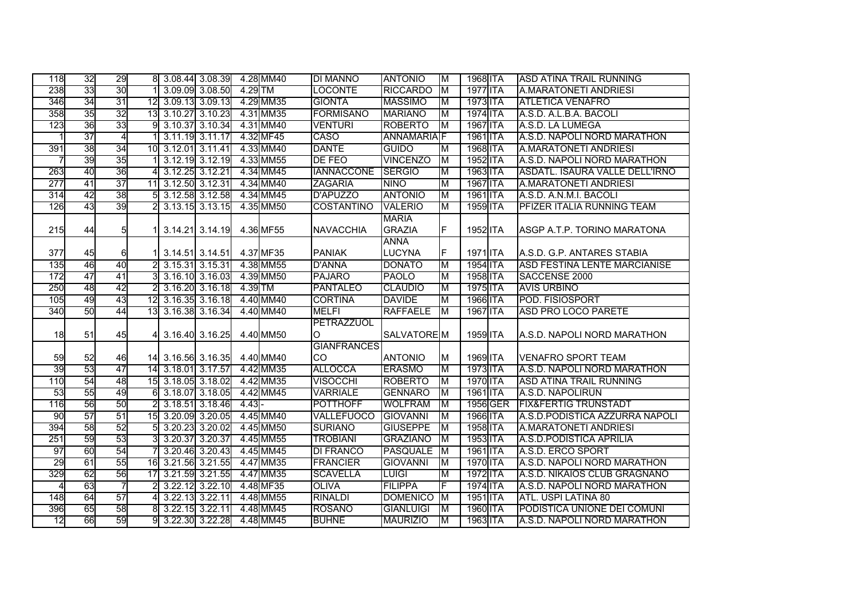| 118            | 32 | 29 |                 | 8 3.08.44 3.08.39 4.28 MM40  |                 |           |           | <b>DI MANNO</b>    | <b>ANTONIO</b>     | M                       | 1968 ITA | <b>ASD ATINA TRAIL RUNNING</b>        |
|----------------|----|----|-----------------|------------------------------|-----------------|-----------|-----------|--------------------|--------------------|-------------------------|----------|---------------------------------------|
| 238            | 33 | 30 |                 |                              | 3.09.09 3.08.50 | $4.29$ TM |           | <b>LOCONTE</b>     | <b>RICCARDO</b>    | $\overline{\mathsf{M}}$ | 1977 ITA | A.MARATONETI ANDRIESI                 |
| 346            | 34 | 31 | $\overline{12}$ |                              | 3.09.13 3.09.13 |           | 4.29 MM35 | <b>GIONTA</b>      | <b>MASSIMO</b>     | ΙM                      | 1973 ITA | <b>ATLETICA VENAFRO</b>               |
| 358            | 35 | 32 | 13              |                              | 3.10.27 3.10.23 |           | 4.31 MM35 | <b>FORMISANO</b>   | <b>MARIANO</b>     | ΙM                      | 1974 ITA | A.S.D. A.L.B.A. BACOLI                |
| 123            | 36 | 33 | 9               |                              | 3.10.37 3.10.34 |           | 4.31 MM40 | <b>VENTURI</b>     | <b>ROBERTO</b>     | M                       | 1967 ITA | A.S.D. LA LUMEGA                      |
|                | 37 | 4  |                 |                              | 3.11.19 3.11.17 |           | 4.32 MF45 | <b>CASO</b>        | <b>ANNAMARIA</b> F |                         | 1961 ITA | A.S.D. NAPOLI NORD MARATHON           |
| 391            | 38 | 34 |                 | 10 3.12.01 3.11.41           |                 |           | 4.33 MM40 | <b>DANTE</b>       | <b>GUIDO</b>       | M                       | 1968 ITA | <b>A.MARATONETI ANDRIESI</b>          |
| 7              | 39 | 35 |                 |                              | 3.12.19 3.12.19 |           | 4.33 MM55 | DE FEO             | <b>VINCENZO</b>    | M                       | 1952 ITA | A.S.D. NAPOLI NORD MARATHON           |
| 263            | 40 | 36 | 4               |                              | 3.12.25 3.12.21 |           | 4.34 MM45 | <b>IANNACCONE</b>  | <b>SERGIO</b>      | M                       | 1963 ITA | <b>ASDATL. ISAURA VALLE DELL'IRNO</b> |
| 277            | 41 | 37 | $\overline{11}$ |                              | 3.12.50 3.12.31 |           | 4.34 MM40 | <b>ZAGARIA</b>     | <b>NINO</b>        | M                       | 1967 ITA | <b>A.MARATONETI ANDRIESI</b>          |
| 314            | 42 | 38 |                 |                              | 3.12.58 3.12.58 |           | 4.34 MM45 | <b>D'APUZZO</b>    | <b>ANTONIO</b>     | M                       | 1961 ITA | A.S.D. A.N.M.I. BACOLI                |
| 126            | 43 | 39 |                 |                              | 3.13.15 3.13.15 |           | 4.35 MM50 | <b>COSTANTINO</b>  | <b>VALERIO</b>     | M                       | 1959 ITA | <b>PFIZER ITALIA RUNNING TEAM</b>     |
|                |    |    |                 |                              |                 |           |           |                    | <b>MARIA</b>       |                         |          |                                       |
| 215            | 44 | 5  |                 |                              | 3.14.21 3.14.19 |           | 4.36 MF55 | <b>NAVACCHIA</b>   | <b>GRAZIA</b>      | F                       | 1952 ITA | ASGP A.T.P. TORINO MARATONA           |
|                |    |    |                 |                              |                 |           |           |                    | <b>ANNA</b>        |                         |          |                                       |
| 377            | 45 | 61 |                 |                              | 3.14.51 3.14.51 |           | 4.37 MF35 | <b>PANIAK</b>      | <b>LUCYNA</b>      | F                       | 1971 ITA | A.S.D. G.P. ANTARES STABIA            |
| 135            | 46 | 40 |                 |                              | 3.15.31 3.15.31 |           | 4.38 MM55 | <b>D'ANNA</b>      | <b>DONATO</b>      | M                       | 1954 ITA | <b>ASD FESTINA LENTE MARCIANISE</b>   |
| 172            | 47 | 41 |                 |                              | 3.16.10 3.16.03 |           | 4.39 MM50 | <b>PAJARO</b>      | <b>PAOLO</b>       | M                       | 1958 ITA | SACCENSE 2000                         |
| 250            | 48 | 42 |                 |                              | 3.16.20 3.16.18 | 4.39 TM   |           | <b>PANTALEO</b>    | <b>CLAUDIO</b>     | M                       | 1975 ITA | <b>AVIS URBINO</b>                    |
| 105            | 49 | 43 |                 | 12 3.16.35 3.16.18           |                 |           | 4.40 MM40 | <b>CORTINA</b>     | <b>DAVIDE</b>      | M                       | 1966 ITA | POD. FISIOSPORT                       |
| 340            | 50 | 44 |                 | 13 3.16.38 3.16.34           |                 |           | 4.40 MM40 | <b>MELFI</b>       | <b>RAFFAELE</b>    | M                       | 1967 ITA | <b>ASD PRO LOCO PARETE</b>            |
|                |    |    |                 |                              |                 |           |           | PETRAZZUOL         |                    |                         |          |                                       |
| 18             | 51 | 45 |                 | 4 3.16.40 3.16.25            |                 |           | 4.40 MM50 | $\circ$            | SALVATORE M        |                         | 1959 ITA | <b>A.S.D. NAPOLI NORD MARATHON</b>    |
|                |    |    |                 |                              |                 |           |           | <b>GIANFRANCES</b> |                    |                         |          |                                       |
| 59             | 52 | 46 |                 | 14 3.16.56 3.16.35 4.40 MM40 |                 |           |           | CO                 | <b>ANTONIO</b>     | M                       | 1969 ITA | <b>VENAFRO SPORT TEAM</b>             |
| 39             | 53 | 47 |                 | 14 3.18.01 3.17.57           |                 |           | 4.42 MM35 | <b>ALLOCCA</b>     | <b>ERASMO</b>      | M                       | 1973 ITA | A.S.D. NAPOLI NORD MARATHON           |
| 110            | 54 | 48 |                 | 15 3.18.05 3.18.02           |                 |           | 4.42 MM35 | <b>VISOCCHI</b>    | <b>ROBERTO</b>     | M                       | 1970 ITA | <b>ASD ATINA TRAIL RUNNING</b>        |
| 53             | 55 | 49 | 6               |                              | 3.18.07 3.18.05 |           | 4.42 MM45 | <b>VARRIALE</b>    | <b>GENNARO</b>     | M                       | 1961 ITA | A.S.D. NAPOLIRUN                      |
| 116            | 56 | 50 |                 |                              | 3.18.51 3.18.46 | $4.43 -$  |           | <b>POTTHOFF</b>    | <b>WOLFRAM</b>     | $\overline{\mathsf{M}}$ | 1956 GER | <b>FIX&amp;FERTIG TRUNSTADT</b>       |
| 90             | 57 | 51 |                 | 15 3.20.09 3.20.05           |                 |           | 4.45 MM40 | <b>VALLEFUOCO</b>  | <b>GIOVANNI</b>    | M                       | 1966 ITA | A.S.D.PODISTICA AZZURRA NAPOLI        |
| 394            | 58 | 52 | 5               |                              | 3.20.23 3.20.02 |           | 4.45 MM50 | <b>SURIANO</b>     | <b>GIUSEPPE</b>    | ΙM                      | 1958 ITA | <b>A.MARATONETI ANDRIESI</b>          |
| 251            | 59 | 53 |                 |                              | 3.20.37 3.20.37 |           | 4.45 MM55 | <b>TROBIANI</b>    | <b>GRAZIANO</b>    | M                       | 1953 ITA | A.S.D.PODISTICA APRILIA               |
| 97             | 60 | 54 |                 |                              | 3.20.46 3.20.43 |           | 4.45 MM45 | <b>DI FRANCO</b>   | <b>PASQUALE</b>    | ĪМ                      | 1961 ITA | A.S.D. ERCO SPORT                     |
| 29             | 61 | 55 | 16              |                              | 3.21.56 3.21.55 |           | 4.47 MM35 | <b>FRANCIER</b>    | <b>GIOVANNI</b>    | M                       | 1970 ITA | A.S.D. NAPOLI NORD MARATHON           |
| 329            | 62 | 56 | $\overline{17}$ |                              | 3.21.59 3.21.55 |           | 4.47 MM35 | <b>SCAVELLA</b>    | <b>LUIGI</b>       | M                       | 1972 ITA | A.S.D. NIKAIOS CLUB GRAGNANO          |
| $\overline{4}$ | 63 | 7  |                 |                              | 3.22.12 3.22.10 |           | 4.48 MF35 | <b>OLIVA</b>       | <b>FILIPPA</b>     | F                       | 1974 ITA | A.S.D. NAPOLI NORD MARATHON           |
| 148            | 64 | 57 |                 |                              | 3.22.13 3.22.11 |           | 4.48 MM55 | <b>RINALDI</b>     | <b>DOMENICO</b>    | $\overline{\mathsf{M}}$ | 1951 ITA | <b>ATL. USPI LATINA 80</b>            |
| 396            | 65 | 58 |                 |                              | 3.22.15 3.22.11 |           | 4.48 MM45 | <b>ROSANO</b>      | <b>GIANLUIGI</b>   | M                       | 1960 ITA | <b>PODISTICA UNIONE DEI COMUNI</b>    |
| 12             | 66 | 59 | 9               |                              | 3.22.30 3.22.28 |           | 4.48 MM45 | <b>BUHNE</b>       | <b>MAURIZIO</b>    | $\overline{\mathsf{M}}$ | 1963 ITA | A.S.D. NAPOLI NORD MARATHON           |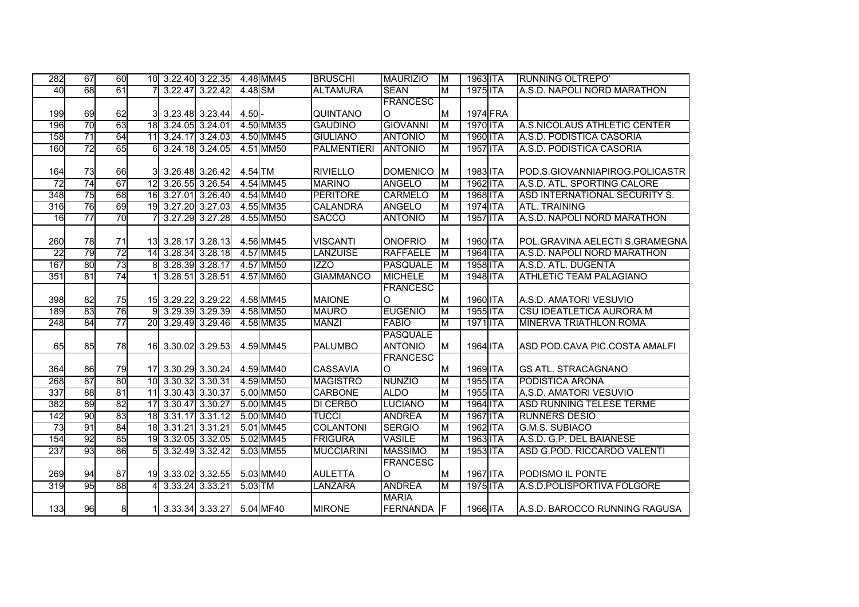| 282             | 67 | 60 |                 | 10 3.22.40 3.22.35 |                 |          | 4.48 MM45 | <b>BRUSCHI</b>     | <b>MAURIZIO</b> | $\overline{\mathsf{M}}$ | 1963 ITA | <b>RUNNING OLTREPO'</b>         |
|-----------------|----|----|-----------------|--------------------|-----------------|----------|-----------|--------------------|-----------------|-------------------------|----------|---------------------------------|
| 40              | 68 | 61 |                 |                    | 3.22.47 3.22.42 | 4.48 SM  |           | <b>ALTAMURA</b>    | <b>SEAN</b>     | M                       | 1975 ITA | A.S.D. NAPOLI NORD MARATHON     |
|                 |    |    |                 |                    |                 |          |           |                    | <b>FRANCESC</b> |                         |          |                                 |
| 199             | 69 | 62 |                 |                    | 3.23.48 3.23.44 | $4.50 -$ |           | QUINTANO           | O               | ΙM                      | 1974 FRA |                                 |
| 196             | 70 | 63 |                 | 18 3.24.05 3.24.01 |                 |          | 4.50 MM35 | <b>GAUDINO</b>     | <b>GIOVANNI</b> | M                       | 1970 ITA | A.S.NICOLAUS ATHLETIC CENTER    |
| 158             | 71 | 64 |                 | 11 3.24.17 3.24.03 |                 |          | 4.50 MM45 | <b>GIULIANO</b>    | <b>ANTONIO</b>  | ΙM                      | 1960 ITA | A.S.D. PODISTICA CASORIA        |
| 160             | 72 | 65 | 6               |                    | 3.24.18 3.24.05 |          | 4.51 MM50 | <b>PALMENTIERI</b> | <b>ANTONIO</b>  | ΙM                      | 1957 ITA | A.S.D. PODISTICA CASORIA        |
|                 |    |    |                 |                    |                 |          |           |                    |                 |                         |          |                                 |
| 164             | 73 | 66 |                 |                    | 3.26.48 3.26.42 | 4.54 TM  |           | <b>RIVIELLO</b>    | <b>DOMENICO</b> | M                       | 1983 ITA | IPOD.S.GIOVANNIAPIROG.POLICASTR |
| 72              | 74 | 67 | 12              |                    | 3.26.55 3.26.54 |          | 4.54 MM45 | <b>MARINO</b>      | <b>ANGELO</b>   | ΙM                      | 1962 ITA | A.S.D. ATL. SPORTING CALORE     |
| 348             | 75 | 68 |                 | 16 3.27.01 3.26.40 |                 |          | 4.54 MM40 | <b>PERITORE</b>    | <b>CARMELO</b>  | M                       | 1968 ITA | ASD INTERNATIONAL SECURITY S.   |
| 316             | 76 | 69 | 19              |                    | 3.27.20 3.27.03 |          | 4.55 MM35 | <b>CALANDRA</b>    | <b>ANGELO</b>   | M                       | 1974 ITA | <b>ATL. TRAINING</b>            |
| 16              | 77 | 70 |                 |                    | 3.27.29 3.27.28 |          | 4.55 MM50 | <b>SACCO</b>       | <b>ANTONIO</b>  | M                       | 1957 ITA | A.S.D. NAPOLI NORD MARATHON     |
|                 |    |    |                 |                    |                 |          |           |                    |                 |                         |          |                                 |
| 260             | 78 | 71 |                 | 13 3.28.17 3.28.13 |                 |          | 4.56 MM45 | <b>VISCANTI</b>    | <b>ONOFRIO</b>  | M                       | 1960 ITA | IPOL.GRAVINA AELECTI S.GRAMEGNA |
| $\overline{22}$ | 79 | 72 |                 | 14 3.28.34 3.28.18 |                 |          | 4.57 MM45 | <b>LANZUISE</b>    | <b>RAFFAELE</b> | M                       | 1964 ITA | A.S.D. NAPOLI NORD MARATHON     |
| 167             | 80 | 73 | 8               |                    | 3.28.39 3.28.17 |          | 4.57 MM50 | <b>IZZO</b>        | <b>PASQUALE</b> | $\overline{\mathsf{M}}$ | 1958 ITA | A.S.D. ATL. DUGENTA             |
| 351             | 81 | 74 |                 |                    | 3.28.51 3.28.51 |          | 4.57 MM60 | <b>GIAMMANCO</b>   | <b>MICHELE</b>  | M                       | 1948 ITA | <b>ATHLETIC TEAM PALAGIANO</b>  |
|                 |    |    |                 |                    |                 |          |           |                    | <b>FRANCESC</b> |                         |          |                                 |
| 398             | 82 | 75 |                 | 15 3.29.22 3.29.22 |                 |          | 4.58 MM45 | <b>MAIONE</b>      | O               | ΙM                      | 1960 ITA | A.S.D. AMATORI VESUVIO          |
| 189             | 83 | 76 |                 |                    | 3.29.39 3.29.39 |          | 4.58 MM50 | <b>MAURO</b>       | <b>EUGENIO</b>  | M                       | 1955 ITA | <b>CSU IDEATLETICA AURORA M</b> |
| 248             | 84 | 77 |                 | 20 3.29.49 3.29.46 |                 |          | 4.58 MM35 | <b>MANZI</b>       | <b>FABIO</b>    | M                       | 1971 ITA | <b>MINERVA TRIATHLON ROMA</b>   |
|                 |    |    |                 |                    |                 |          |           |                    | <b>PASQUALE</b> |                         |          |                                 |
| 65              | 85 | 78 |                 | 16 3.30.02 3.29.53 |                 |          | 4.59 MM45 | <b>PALUMBO</b>     | <b>ANTONIO</b>  | ΙM                      | 1964 ITA | ASD POD.CAVA PIC.COSTA AMALFI   |
|                 |    |    |                 |                    |                 |          |           |                    | <b>FRANCESC</b> |                         |          |                                 |
| 364             | 86 | 79 |                 | 17 3.30.29 3.30.24 |                 |          | 4.59 MM40 | <b>CASSAVIA</b>    | lO.             | ΙM                      | 1969 ITA | <b>GS ATL. STRACAGNANO</b>      |
| 268             | 87 | 80 | 10              |                    | 3.30.32 3.30.31 |          | 4.59 MM50 | <b>MAGISTRO</b>    | <b>NUNZIO</b>   | M                       | 1955 ITA | PODISTICA ARONA                 |
| 337             | 88 | 81 | $\overline{11}$ |                    | 3.30.43 3.30.37 |          | 5.00 MM50 | <b>CARBONE</b>     | <b>ALDO</b>     | M                       | 1955 ITA | A.S.D. AMATORI VESUVIO          |
| 382             | 89 | 82 | 17              |                    | 3.30.47 3.30.27 |          | 5.00 MM45 | <b>DI CERBO</b>    | <b>LUCIANO</b>  | M                       | 1964 ITA | ASD RUNNING TELESE TERME        |
| 142             | 90 | 83 |                 | 18 3.31.17 3.31.12 |                 |          | 5.00 MM40 | <b>TUCCI</b>       | <b>ANDREA</b>   | M                       | 1967 ITA | <b>RUNNERS DESIO</b>            |
| 73              | 91 | 84 | 18              | 3.31.21 3.31.21    |                 |          | 5.01 MM45 | <b>COLANTONI</b>   | <b>SERGIO</b>   | ΙM                      | 1962 ITA | <b>G.M.S. SUBIACO</b>           |
| 154             | 92 | 85 | 19              |                    | 3.32.05 3.32.05 |          | 5.02 MM45 | <b>FRIGURA</b>     | <b>VASILE</b>   | M                       | 1963 ITA | A.S.D. G.P. DEL BAIANESE        |
| 237             | 93 | 86 |                 |                    | 3.32.49 3.32.42 |          | 5.03 MM55 | <b>MUCCIARINI</b>  | <b>MASSIMO</b>  | M                       | 1953 ITA | ASD G.POD. RICCARDO VALENTI     |
|                 |    |    |                 |                    |                 |          |           |                    | <b>FRANCESC</b> |                         |          |                                 |
| 269             | 94 | 87 |                 | 19 3.33.02 3.32.55 |                 |          | 5.03 MM40 | <b>AULETTA</b>     | O               | M                       | 1967 ITA | PODISMO IL PONTE                |
| 319             | 95 | 88 |                 |                    | 3.33.24 3.33.21 | 5.03 TM  |           | <b>LANZARA</b>     | <b>ANDREA</b>   | M                       | 1975 ITA | A.S.D.POLISPORTIVA FOLGORE      |
|                 |    |    |                 |                    |                 |          |           |                    | <b>MARIA</b>    |                         |          |                                 |
| 133             | 96 | 8  |                 |                    | 3.33.34 3.33.27 |          | 5.04 MF40 | <b>MIRONE</b>      | <b>FERNANDA</b> | IF.                     | 1966 ITA | A.S.D. BAROCCO RUNNING RAGUSA   |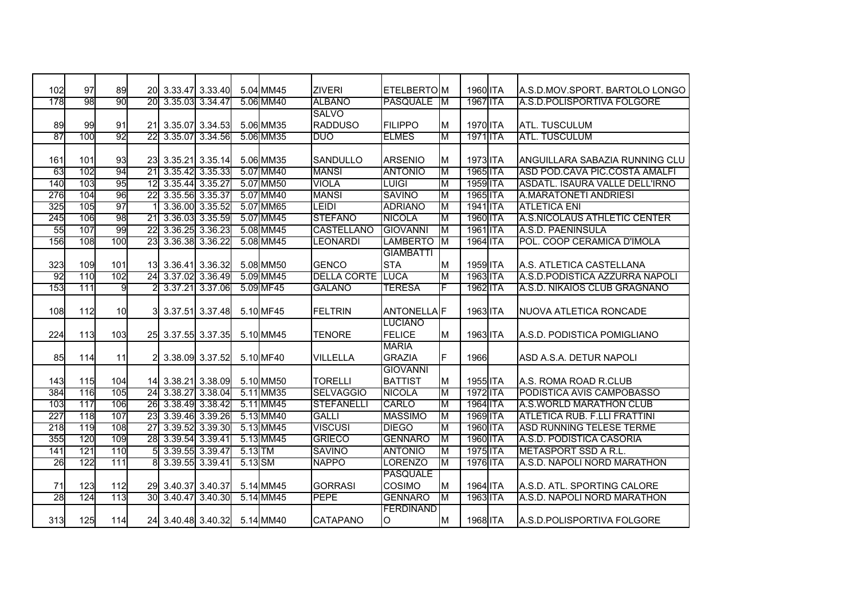| 102 | 97  | 89  |                 | 20 3.33.47 3.33.40 |                 |           | 5.04 MM45 | <b>ZIVERI</b>      | <b>ETELBERTOM</b> |                         | 1960 ITA | IA.S.D.MOV.SPORT. BARTOLO LONGO       |
|-----|-----|-----|-----------------|--------------------|-----------------|-----------|-----------|--------------------|-------------------|-------------------------|----------|---------------------------------------|
| 178 | 98  | 90  | 20              |                    | 3.35.03 3.34.47 |           | 5.06 MM40 | <b>ALBANO</b>      | PASQUALE          | ΙM                      | 1967 ITA | A.S.D.POLISPORTIVA FOLGORE            |
|     |     |     |                 |                    |                 |           |           | <b>SALVO</b>       |                   |                         |          |                                       |
| 89  | 99  | 91  | 21              |                    | 3.35.07 3.34.53 |           | 5.06 MM35 | <b>RADDUSO</b>     | <b>FILIPPO</b>    | M                       | 1970 ITA | <b>ATL. TUSCULUM</b>                  |
| 87  | 100 | 92  | 22              |                    | 3.35.07 3.34.56 |           | 5.06 MM35 | DUO                | <b>ELMES</b>      | M                       | 1971 ITA | <b>ATL. TUSCULUM</b>                  |
|     |     |     |                 |                    |                 |           |           |                    |                   |                         |          |                                       |
| 161 | 101 | 93  | <b>23</b>       |                    | 3.35.21 3.35.14 |           | 5.06 MM35 | <b>SANDULLO</b>    | <b>ARSENIO</b>    | M                       | 1973 ITA | IANGUILLARA SABAZIA RUNNING CLU       |
| 63  | 102 | 94  | $\overline{21}$ |                    | 3.35.42 3.35.33 |           | 5.07 MM40 | <b>MANSI</b>       | <b>ANTONIO</b>    | M                       | 1965 ITA | ASD POD.CAVA PIC.COSTA AMALFI         |
| 140 | 103 | 95  | 12              |                    | 3.35.44 3.35.27 |           | 5.07 MM50 | VIOLA              | <b>LUIGI</b>      | M                       | 1959 ITA | <b>ASDATL. ISAURA VALLE DELL'IRNO</b> |
| 276 | 104 | 96  | $\overline{22}$ |                    | 3.35.56 3.35.37 |           | 5.07 MM40 | <b>MANSI</b>       | <b>SAVINO</b>     | M                       | 1965 ITA | A.MARATONETI ANDRIESI                 |
| 325 | 105 | 97  |                 |                    | 3.36.00 3.35.52 |           | 5.07 MM65 | <b>LEIDI</b>       | <b>ADRIANO</b>    | $\overline{\mathsf{M}}$ | 1941 ITA | <b>ATLETICA ENI</b>                   |
| 245 | 106 | 98  | $\overline{21}$ |                    | 3.36.03 3.35.59 |           | 5.07 MM45 | <b>STEFANO</b>     | <b>NICOLA</b>     | M                       | 1960 ITA | <b>A.S.NICOLAUS ATHLETIC CENTER</b>   |
| 55  | 107 | 99  | 22              |                    | 3.36.25 3.36.23 |           | 5.08 MM45 | <b>CASTELLANO</b>  | <b>GIOVANNI</b>   | ΙM                      | 1961 ITA | A.S.D. PAENINSULA                     |
| 156 | 108 | 100 | 23              |                    | 3.36.38 3.36.22 |           | 5.08 MM45 | <b>LEONARDI</b>    | <b>LAMBERTO</b>   | M                       | 1964 ITA | POL. COOP CERAMICA D'IMOLA            |
|     |     |     |                 |                    |                 |           |           |                    | <b>GIAMBATTI</b>  |                         |          |                                       |
| 323 | 109 | 101 |                 | 13 3.36.41 3.36.32 |                 |           | 5.08 MM50 | <b>GENCO</b>       | <b>STA</b>        | M                       | 1959 ITA | A.S. ATLETICA CASTELLANA              |
| 92  | 110 | 102 | 24              |                    | 3.37.02 3.36.49 |           | 5.09 MM45 | <b>DELLA CORTE</b> | <b>LUCA</b>       | M                       | 1963 ITA | A.S.D.PODISTICA AZZURRA NAPOLI        |
| 153 | 111 | 9   |                 |                    | 3.37.21 3.37.06 |           | 5.09 MF45 | <b>GALANO</b>      | <b>TERESA</b>     | F                       | 1962 ITA | IA.S.D. NIKAIOS CLUB GRAGNANO         |
|     |     |     |                 |                    |                 |           |           |                    |                   |                         |          |                                       |
| 108 | 112 | 10  | 31              |                    | 3.37.51 3.37.48 |           | 5.10 MF45 | <b>FELTRIN</b>     | <b>ANTONELLAF</b> |                         | 1963 ITA | <b>INUOVA ATLETICA RONCADE</b>        |
|     |     |     |                 |                    |                 |           |           |                    | <b>LUCIANO</b>    |                         |          |                                       |
| 224 | 113 | 103 |                 | 25 3.37.55 3.37.35 |                 |           | 5.10 MM45 | <b>TENORE</b>      | <b>FELICE</b>     | ΙM                      | 1963 ITA | IA.S.D. PODISTICA POMIGLIANO          |
|     |     |     |                 |                    |                 |           |           |                    | <b>MARIA</b>      |                         |          |                                       |
| 85  | 114 | 11  |                 |                    | 3.38.09 3.37.52 |           | 5.10 MF40 | VILLELLA           | <b>GRAZIA</b>     | F.                      | 1966     | ASD A.S.A. DETUR NAPOLI               |
|     |     |     |                 |                    |                 |           |           |                    | <b>GIOVANNI</b>   |                         |          |                                       |
| 143 | 115 | 104 |                 | 14 3.38.21 3.38.09 |                 |           | 5.10 MM50 | <b>TORELLI</b>     | <b>BATTIST</b>    | M                       | 1955 ITA | A.S. ROMA ROAD R.CLUB                 |
| 384 | 116 | 105 |                 | 24 3.38.27 3.38.04 |                 |           | 5.11 MM35 | <b>SELVAGGIO</b>   | <b>NICOLA</b>     | M                       | 1972 ITA | <b>PODISTICA AVIS CAMPOBASSO</b>      |
| 103 | 117 | 106 |                 | 26 3.38.49 3.38.42 |                 |           | 5.11 MM45 | <b>STEFANELLI</b>  | <b>CARLO</b>      | M                       | 1964 ITA | A.S.WORLD MARATHON CLUB               |
| 227 | 118 | 107 | 23              |                    | 3.39.46 3.39.26 |           | 5.13 MM40 | <b>GALLI</b>       | <b>MASSIMO</b>    | M                       | 1969 ITA | ATLETICA RUB. F.LLI FRATTINI          |
| 218 | 119 | 108 | $\overline{27}$ |                    | 3.39.52 3.39.30 |           | 5.13 MM45 | <b>VISCUSI</b>     | <b>DIEGO</b>      | M                       | 1960 ITA | ASD RUNNING TELESE TERME              |
| 355 | 120 | 109 | 28              |                    | 3.39.54 3.39.41 |           | 5.13 MM45 | <b>GRIECO</b>      | <b>GENNARO</b>    | ΙM                      | 1960 ITA | A.S.D. PODISTICA CASORIA              |
| 141 | 121 | 110 |                 |                    | 3.39.55 3.39.47 | $5.13$ TM |           | <b>SAVINO</b>      | <b>ANTONIO</b>    | M                       | 1975 ITA | <b>IMETASPORT SSD A R.L.</b>          |
| 26  | 122 | 111 |                 | 3.39.55 3.39.41    |                 | 5.13 SM   |           | <b>NAPPO</b>       | <b>LORENZO</b>    | ΙM                      | 1976 ITA | A.S.D. NAPOLI NORD MARATHON           |
|     |     |     |                 |                    |                 |           |           |                    | <b>PASQUALE</b>   |                         |          |                                       |
| 71  | 123 | 112 |                 | 29 3.40.37 3.40.37 |                 |           | 5.14 MM45 | <b>GORRASI</b>     | COSIMO            | M                       | 1964 ITA | A.S.D. ATL. SPORTING CALORE           |
| 28  | 124 | 113 | 30 <sup>1</sup> | 3.40.47            | 3.40.30         |           | 5.14 MM45 | <b>PEPE</b>        | <b>GENNARO</b>    | M                       | 1963 ITA | A.S.D. NAPOLI NORD MARATHON           |
|     |     |     |                 |                    |                 |           |           |                    | <b>FERDINAND</b>  |                         |          |                                       |
| 313 | 125 | 114 |                 | 24 3.40.48 3.40.32 |                 |           | 5.14 MM40 | <b>CATAPANO</b>    | Ю                 | M                       | 1968 ITA | IA.S.D.POLISPORTIVA FOLGORE           |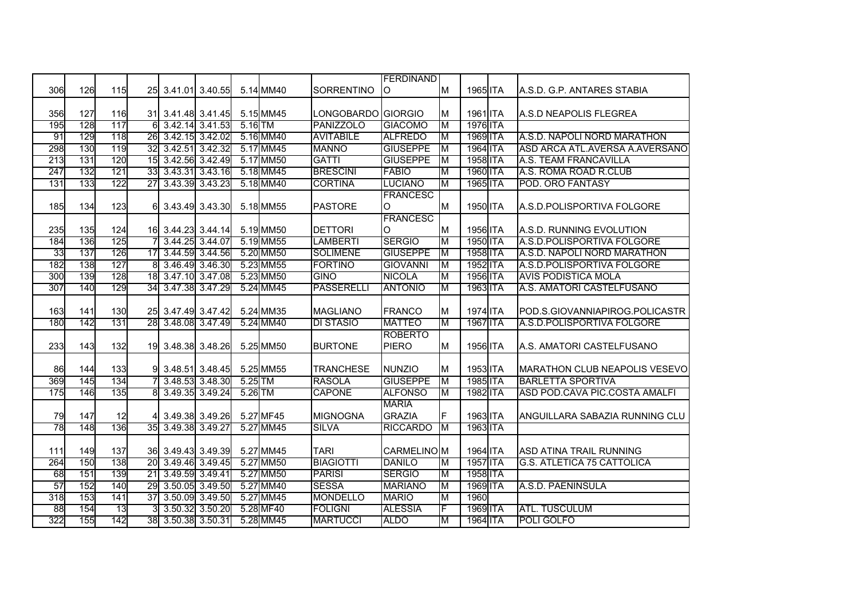|     |     |     |    |                    |                    |           |           |                    | <b>FERDINAND</b> |   |          |                                   |
|-----|-----|-----|----|--------------------|--------------------|-----------|-----------|--------------------|------------------|---|----------|-----------------------------------|
| 306 | 126 | 115 |    |                    | 25 3.41.01 3.40.55 |           | 5.14 MM40 | <b>SORRENTINO</b>  | O                | M | 1965 ITA | A.S.D. G.P. ANTARES STABIA        |
|     |     |     |    |                    |                    |           |           |                    |                  |   |          |                                   |
| 356 | 127 | 116 |    |                    | 31 3.41.48 3.41.45 |           | 5.15 MM45 | LONGOBARDO GIORGIO |                  | M | 1961 ITA | A.S.D NEAPOLIS FLEGREA            |
| 195 | 128 | 117 |    | 6 3.42.14 3.41.53  |                    | $5.16$ TM |           | <b>PANIZZOLO</b>   | <b>GIACOMO</b>   | M | 1976 ITA |                                   |
| 91  | 129 | 118 |    |                    | 26 3.42.15 3.42.02 |           | 5.16 MM40 | <b>AVITABILE</b>   | <b>ALFREDO</b>   | M | 1969 ITA | A.S.D. NAPOLI NORD MARATHON       |
| 298 | 130 | 119 |    | 32 3.42.51 3.42.32 |                    |           | 5.17 MM45 | <b>MANNO</b>       | <b>GIUSEPPE</b>  | M | 1964 ITA | ASD ARCA ATL.AVERSA A.AVERSANO    |
| 213 | 131 | 120 |    | 15 3.42.56 3.42.49 |                    |           | 5.17 MM50 | <b>GATTI</b>       | <b>GIUSEPPE</b>  | M | 1958 ITA | A.S. TEAM FRANCAVILLA             |
| 247 | 132 | 121 |    |                    | 33 3.43.31 3.43.16 |           | 5.18 MM45 | <b>BRESCINI</b>    | <b>FABIO</b>     | M | 1960 ITA | A.S. ROMA ROAD R.CLUB             |
| 131 | 133 | 122 |    |                    | 27 3.43.39 3.43.23 |           | 5.18 MM40 | <b>CORTINA</b>     | <b>LUCIANO</b>   | M | 1965 ITA | POD, ORO FANTASY                  |
|     |     |     |    |                    |                    |           |           |                    | <b>FRANCESC</b>  |   |          |                                   |
| 185 | 134 | 123 | 61 |                    | 3.43.49 3.43.30    |           | 5.18 MM55 | <b>PASTORE</b>     | O                | M | 1950 ITA | A.S.D.POLISPORTIVA FOLGORE        |
|     |     |     |    |                    |                    |           |           |                    | <b>FRANCESC</b>  |   |          |                                   |
| 235 | 135 | 124 |    |                    | 16 3.44.23 3.44.14 |           | 5.19 MM50 | <b>DETTORI</b>     | O                | M | 1956 ITA | A.S.D. RUNNING EVOLUTION          |
| 184 | 136 | 125 |    | 3.44.25 3.44.07    |                    |           | 5.19 MM55 | <b>LAMBERTI</b>    | <b>SERGIO</b>    | M | 1950 ITA | A.S.D.POLISPORTIVA FOLGORE        |
| 33  | 137 | 126 | 17 |                    | 3.44.59 3.44.56    |           | 5.20 MM50 | <b>SOLIMENE</b>    | <b>GIUSEPPE</b>  | M | 1958 ITA | A.S.D. NAPOLI NORD MARATHON       |
| 182 | 138 | 127 | 8  |                    | 3.46.49 3.46.30    |           | 5.23 MM55 | <b>FORTINO</b>     | <b>GIOVANNI</b>  | M | 1952 ITA | A.S.D.POLISPORTIVA FOLGORE        |
| 300 | 139 | 128 |    |                    | 18 3.47.10 3.47.08 |           | 5.23 MM50 | <b>GINO</b>        | <b>NICOLA</b>    | M | 1956 ITA | <b>AVIS PODISTICA MOLA</b>        |
| 307 | 140 | 129 |    |                    | 34 3.47.38 3.47.29 |           | 5.24 MM45 | <b>PASSERELLI</b>  | <b>ANTONIO</b>   | M | 1963 ITA | A.S. AMATORI CASTELFUSANO         |
|     |     |     |    |                    |                    |           |           |                    |                  |   |          |                                   |
| 163 | 141 | 130 |    |                    | 25 3.47.49 3.47.42 |           | 5.24 MM35 | <b>MAGLIANO</b>    | <b>FRANCO</b>    | M | 1974 ITA | POD.S.GIOVANNIAPIROG.POLICASTR    |
| 180 | 142 | 131 |    |                    | 28 3.48.08 3.47.49 |           | 5.24 MM40 | <b>DI STASIO</b>   | <b>MATTEO</b>    | M | 1967 ITA | A.S.D.POLISPORTIVA FOLGORE        |
|     |     |     |    |                    |                    |           |           |                    | <b>ROBERTO</b>   |   |          |                                   |
| 233 | 143 | 132 |    |                    | 19 3.48.38 3.48.26 |           | 5.25 MM50 | <b>BURTONE</b>     | <b>PIERO</b>     | M | 1956 ITA | A.S. AMATORI CASTELFUSANO         |
|     |     |     |    |                    |                    |           |           |                    |                  |   |          |                                   |
| 86  | 144 | 133 |    |                    | 3.48.51 3.48.45    |           | 5.25 MM55 | <b>TRANCHESE</b>   | <b>NUNZIO</b>    | M | 1953 ITA | MARATHON CLUB NEAPOLIS VESEVO     |
| 369 | 145 | 134 |    |                    | 3.48.53 3.48.30    | 5.25 TM   |           | <b>RASOLA</b>      | <b>GIUSEPPE</b>  | M | 1985 ITA | <b>BARLETTA SPORTIVA</b>          |
| 175 | 146 | 135 |    |                    | 3.49.35 3.49.24    | 5.26 TM   |           | <b>CAPONE</b>      | <b>ALFONSO</b>   | M | 1982 ITA | ASD POD.CAVA PIC.COSTA AMALFI     |
|     |     |     |    |                    |                    |           |           |                    | <b>MARIA</b>     |   |          |                                   |
| 79  | 147 | 12  |    |                    | 3.49.38 3.49.26    |           | 5.27 MF45 | <b>MIGNOGNA</b>    | <b>GRAZIA</b>    | F | 1963 ITA | ANGUILLARA SABAZIA RUNNING CLU    |
| 78  | 148 | 136 |    | 35 3.49.38 3.49.27 |                    |           | 5.27 MM45 | <b>SILVA</b>       | <b>RICCARDO</b>  | М | 1963 ITA |                                   |
|     |     |     |    |                    |                    |           |           |                    |                  |   |          |                                   |
| 111 | 149 | 137 |    |                    | 36 3.49.43 3.49.39 |           | 5.27 MM45 | <b>TARI</b>        | CARMELINO M      |   | 1964 ITA | ASD ATINA TRAIL RUNNING           |
| 264 | 150 | 138 | 20 |                    | 3.49.46 3.49.45    |           | 5.27 MM50 | <b>BIAGIOTTI</b>   | <b>DANILO</b>    | M | 1957 ITA | <b>G.S. ATLETICA 75 CATTOLICA</b> |
| 68  | 151 | 139 | 21 |                    | 3.49.59 3.49.41    |           | 5.27 MM50 | <b>PARISI</b>      | <b>SERGIO</b>    | M | 1958 ITA |                                   |
| 57  | 152 | 140 | 29 |                    | 3.50.05 3.49.50    |           | 5.27 MM40 | <b>SESSA</b>       | <b>MARIANO</b>   | M | 1969 ITA | A.S.D. PAENINSULA                 |
| 318 | 153 | 141 |    | 37 3.50.09 3.49.50 |                    |           | 5.27 MM45 | <b>MONDELLO</b>    | <b>MARIO</b>     | M | 1960     |                                   |
| 88  | 154 | 13  |    |                    | 3.50.32 3.50.20    |           | 5.28 MF40 | <b>FOLIGNI</b>     | <b>ALESSIA</b>   | E | 1969 ITA | <b>ATL. TUSCULUM</b>              |
| 322 | 155 | 142 |    | 38 3.50.38 3.50.31 |                    |           | 5.28 MM45 | <b>MARTUCCI</b>    | <b>ALDO</b>      | M | 1964 ITA | POLI GOLFO                        |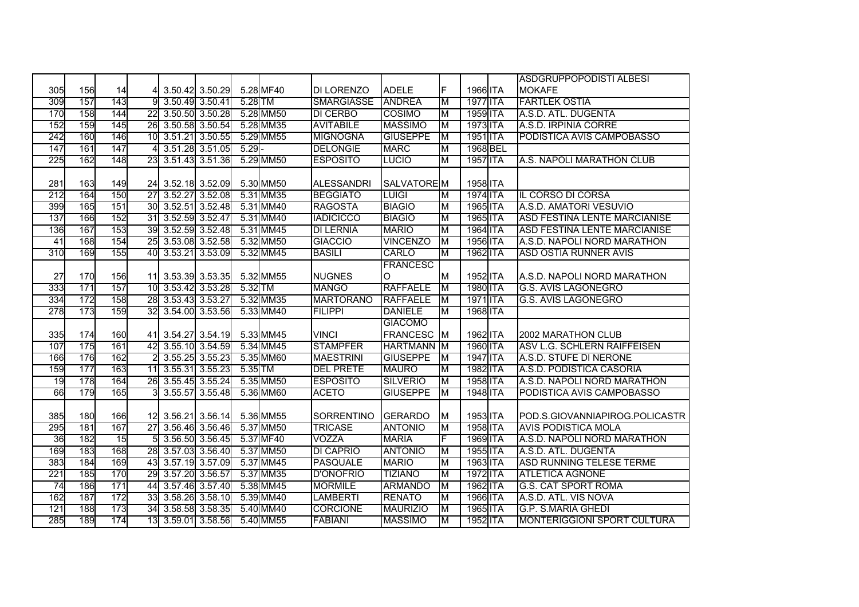|     |     |     |                 |                    |                 |         |           |                   |                   |    |          | <b>ASDGRUPPOPODISTI ALBESI</b>      |
|-----|-----|-----|-----------------|--------------------|-----------------|---------|-----------|-------------------|-------------------|----|----------|-------------------------------------|
| 305 | 156 | 14  | 41              |                    | 3.50.42 3.50.29 |         | 5.28 MF40 | <b>DI LORENZO</b> | <b>ADELE</b>      | F  | 1966 ITA | <b>MOKAFE</b>                       |
| 309 | 157 | 143 | 9               |                    | 3.50.49 3.50.41 | 5.28 TM |           | <b>SMARGIASSE</b> | <b>ANDREA</b>     | ΙM | 1977 ITA | <b>FARTLEK OSTIA</b>                |
| 170 | 158 | 144 | $\overline{22}$ |                    | 3.50.50 3.50.28 |         | 5.28 MM50 | <b>DI CERBO</b>   | <b>COSIMO</b>     | ΙM | 1959 ITA | A.S.D. ATL. DUGENTA                 |
| 152 | 159 | 145 | 26              |                    | 3.50.58 3.50.54 |         | 5.28 MM35 | <b>AVITABILE</b>  | <b>MASSIMO</b>    | M  | 1973 ITA | A.S.D. IRPINIA CORRE                |
| 242 | 160 | 146 | 10              |                    | 3.51.21 3.50.55 |         | 5.29 MM55 | <b>MIGNOGNA</b>   | <b>GIUSEPPE</b>   | ΙM | 1951 ITA | PODISTICA AVIS CAMPOBASSO           |
| 147 | 161 | 147 |                 |                    | 3.51.28 3.51.05 | 5.29    |           | <b>DELONGIE</b>   | <b>MARC</b>       | M  | 1968 BEL |                                     |
| 225 | 162 | 148 | 23              |                    | 3.51.43 3.51.36 |         | 5.29 MM50 | <b>ESPOSITO</b>   | <b>LUCIO</b>      | M  | 1957 ITA | A.S. NAPOLI MARATHON CLUB           |
|     |     |     |                 |                    |                 |         |           |                   |                   |    |          |                                     |
| 281 | 163 | 149 |                 | 24 3.52.18 3.52.09 |                 |         | 5.30 MM50 | <b>ALESSANDRI</b> | <b>SALVATOREM</b> |    | 1958 ITA |                                     |
| 212 | 164 | 150 | $\overline{27}$ |                    | 3.52.27 3.52.08 |         | 5.31 MM35 | <b>BEGGIATO</b>   | <b>LUIGI</b>      | M  | 1974 ITA | IL CORSO DI CORSA                   |
| 399 | 165 | 151 | 30              |                    | 3.52.51 3.52.48 |         | 5.31 MM40 | <b>RAGOSTA</b>    | <b>BIAGIO</b>     | Iм | 1965 ITA | A.S.D. AMATORI VESUVIO              |
| 137 | 166 | 152 | 31              | 3.52.59 3.52.47    |                 |         | 5.31 MM40 | <b>IADICICCO</b>  | <b>BIAGIO</b>     | M  | 1965 ITA | <b>ASD FESTINA LENTE MARCIANISE</b> |
| 136 | 167 | 153 | 39              |                    | 3.52.59 3.52.48 |         | 5.31 MM45 | <b>DI LERNIA</b>  | <b>MARIO</b>      | Iм | 1964 ITA | <b>ASD FESTINA LENTE MARCIANISE</b> |
| 41  | 168 | 154 | 25              |                    | 3.53.08 3.52.58 |         | 5.32 MM50 | <b>GIACCIO</b>    | <b>VINCENZO</b>   | IМ | 1956 ITA | A.S.D. NAPOLI NORD MARATHON         |
| 310 | 169 | 155 | 40              |                    | 3.53.21 3.53.09 |         | 5.32 MM45 | <b>BASILI</b>     | <b>CARLO</b>      | M  | 1962 ITA | <b>ASD OSTIA RUNNER AVIS</b>        |
|     |     |     |                 |                    |                 |         |           |                   | <b>FRANCESC</b>   |    |          |                                     |
| 27  | 170 | 156 |                 | 11 3.53.39 3.53.35 |                 |         | 5.32 MM55 | <b>NUGNES</b>     | <sup>o</sup>      | ΙM | 1952 ITA | A.S.D. NAPOLI NORD MARATHON         |
| 333 | 171 | 157 | 10              |                    | 3.53.42 3.53.28 | 5.32 TM |           | <b>MANGO</b>      | <b>RAFFAELE</b>   | Iм | 1980 ITA | <b>G.S. AVIS LAGONEGRO</b>          |
| 334 | 172 | 158 |                 | 28 3.53.43 3.53.27 |                 |         | 5.32 MM35 | <b>MARTORANO</b>  | <b>RAFFAELE</b>   | M  | 1971 ITA | G.S. AVIS LAGONEGRO                 |
| 278 | 173 | 159 |                 | 32 3.54.00 3.53.56 |                 |         | 5.33 MM40 | <b>FILIPPI</b>    | <b>DANIELE</b>    | M  | 1968 ITA |                                     |
|     |     |     |                 |                    |                 |         |           |                   | <b>GIACOMO</b>    |    |          |                                     |
| 335 | 174 | 160 |                 | 41 3.54.27 3.54.19 |                 |         | 5.33 MM45 | <b>VINCI</b>      | <b>FRANCESC</b>   | Iм | 1962 ITA | 2002 MARATHON CLUB                  |
| 107 | 175 | 161 | 42              |                    | 3.55.10 3.54.59 |         | 5.34 MM45 | <b>STAMPFER</b>   | <b>HARTMANN</b> M |    | 1960 ITA | ASV L.G. SCHLERN RAIFFEISEN         |
| 166 | 176 | 162 |                 |                    | 3.55.25 3.55.23 |         | 5.35 MM60 | <b>MAESTRINI</b>  | <b>GIUSEPPE</b>   | ΙM | 1947 ITA | A.S.D. STUFE DI NERONE              |
| 159 | 177 | 163 | 11              |                    | 3.55.31 3.55.23 | 5.35 TM |           | <b>DEL PRETE</b>  | <b>MAURO</b>      | Iм | 1982 ITA | A.S.D. PODISTICA CASORIA            |
| 19  | 178 | 164 | 26              |                    | 3.55.45 3.55.24 |         | 5.35 MM50 | <b>ESPOSITO</b>   | <b>SILVERIO</b>   | M  | 1958 ITA | A.S.D. NAPOLI NORD MARATHON         |
| 66  | 179 | 165 |                 |                    | 3.55.57 3.55.48 |         | 5.36 MM60 | <b>ACETO</b>      | <b>GIUSEPPE</b>   | M  | 1948 ITA | PODISTICA AVIS CAMPOBASSO           |
|     |     |     |                 |                    |                 |         |           |                   |                   |    |          |                                     |
| 385 | 180 | 166 |                 | 12 3.56.21 3.56.14 |                 |         | 5.36 MM55 | <b>SORRENTINO</b> | <b>GERARDO</b>    | M  | 1953 ITA | IPOD.S.GIOVANNIAPIROG.POLICASTR     |
| 295 | 181 | 167 | 27              |                    | 3.56.46 3.56.46 |         | 5.37 MM50 | <b>TRICASE</b>    | <b>ANTONIO</b>    | M  | 1958 ITA | <b>AVIS PODISTICA MOLA</b>          |
| 36  | 182 | 15  | 51              |                    | 3.56.50 3.56.45 |         | 5.37 MF40 | VOZZA             | <b>MARIA</b>      | F. | 1969 ITA | A.S.D. NAPOLI NORD MARATHON         |
| 169 | 183 | 168 | 28              |                    | 3.57.03 3.56.40 |         | 5.37 MM50 | <b>DI CAPRIO</b>  | <b>ANTONIO</b>    | M  | 1955 ITA | A.S.D. ATL. DUGENTA                 |
| 383 | 184 | 169 | 43              |                    | 3.57.19 3.57.09 |         | 5.37 MM45 | <b>PASQUALE</b>   | <b>MARIO</b>      | M  | 1963 ITA | <b>ASD RUNNING TELESE TERME</b>     |
| 221 | 185 | 170 | 29              |                    | 3.57.20 3.56.57 |         | 5.37 MM35 | <b>D'ONOFRIO</b>  | <b>TIZIANO</b>    | IМ | 1972 ITA | <b>ATLETICA AGNONE</b>              |
| 74  | 186 | 171 | 44              |                    | 3.57.46 3.57.40 |         | 5.38 MM45 | <b>MORMILE</b>    | <b>ARMANDO</b>    | M  | 1962 ITA | <b>G.S. CAT SPORT ROMA</b>          |
| 162 | 187 | 172 | 33              |                    | 3.58.26 3.58.10 |         | 5.39 MM40 | <b>LAMBERTI</b>   | <b>RENATO</b>     | ΙM | 1966 ITA | A.S.D. ATL. VIS NOVA                |
| 121 | 188 | 173 | 34              |                    | 3.58.58 3.58.35 |         | 5.40 MM40 | <b>CORCIONE</b>   | <b>MAURIZIO</b>   | M  | 1965 ITA | <b>G.P. S.MARIA GHEDI</b>           |
| 285 | 189 | 174 | 13              |                    | 3.59.01 3.58.56 |         | 5.40 MM55 | <b>FABIANI</b>    | <b>MASSIMO</b>    | M  | 1952 ITA | <b>MONTERIGGIONI SPORT CULTURA</b>  |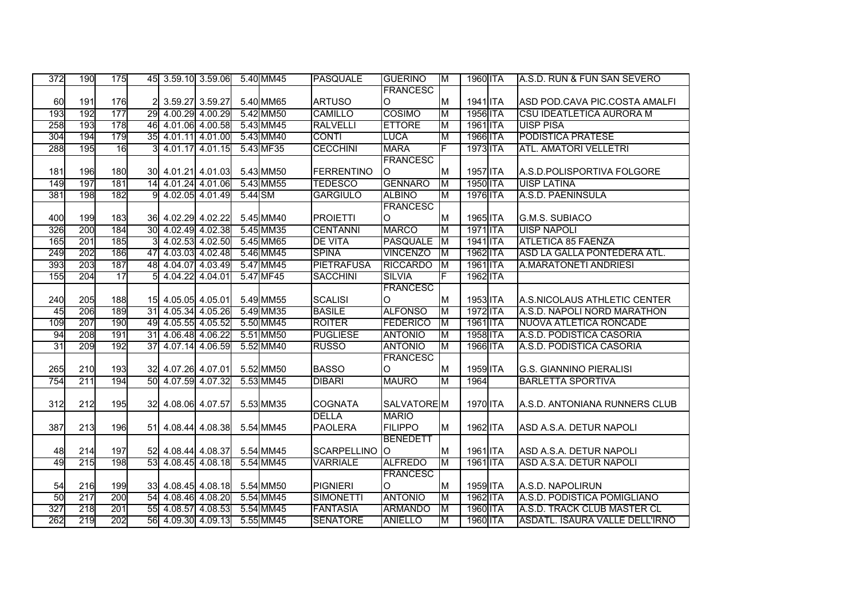| 372 | 190 | 175        |    | 45 3.59.10 3.59.06 5.40 MM45 |         |           | <b>PASQUALE</b>   | <b>GUERINO</b>  | IМ       | 1960 ITA | A.S.D. RUN & FUN SAN SEVERO     |
|-----|-----|------------|----|------------------------------|---------|-----------|-------------------|-----------------|----------|----------|---------------------------------|
|     |     |            |    |                              |         |           |                   | <b>FRANCESC</b> |          |          |                                 |
| 60  | 191 | 176        |    | 3.59.27 3.59.27              |         | 5.40 MM65 | <b>ARTUSO</b>     | <sup>o</sup>    | <b>M</b> | 1941 ITA | ASD POD.CAVA PIC.COSTA AMALFI   |
| 193 | 192 | 177        | 29 | 4.00.29 4.00.29              |         | 5.42 MM50 | <b>CAMILLO</b>    | <b>COSIMO</b>   | M        | 1956 ITA | <b>CSU IDEATLETICA AURORA M</b> |
| 258 | 193 | 178        |    | 46 4.01.06 4.00.58           |         | 5.43 MM45 | <b>RALVELLI</b>   | <b>ETTORE</b>   | M        | 1961 ITA | <b>UISP PISA</b>                |
| 304 | 194 | 179        |    | 35 4.01.11 4.01.00           |         | 5.43 MM40 | <b>CONTI</b>      | LUCA            | М        | 1966 ITA | <b>PODISTICA PRATESE</b>        |
| 288 | 195 | 16         | зI | 4.01.17 4.01.15              |         | 5.43 MF35 | <b>CECCHINI</b>   | <b>MARA</b>     | F        | 1973 ITA | <b>ATL. AMATORI VELLETRI</b>    |
|     |     |            |    |                              |         |           |                   | <b>FRANCESC</b> |          |          |                                 |
| 181 | 196 | <b>180</b> |    | 30 4.01.21 4.01.03           |         | 5.43 MM50 | <b>FERRENTINO</b> | IО              | M        | 1957 ITA | A.S.D.POLISPORTIVA FOLGORE      |
| 149 | 197 | 181        | 14 | 4.01.24 4.01.06              |         | 5.43 MM55 | <b>TEDESCO</b>    | <b>GENNARO</b>  | M        | 1950 ITA | <b>UISP LATINA</b>              |
| 381 | 198 | 182        | 91 | 4.02.05 4.01.49              | 5.44 SM |           | <b>GARGIULO</b>   | <b>ALBINO</b>   | M        | 1976 ITA | A.S.D. PAENINSULA               |
|     |     |            |    |                              |         |           |                   | <b>FRANCESC</b> |          |          |                                 |
| 400 | 199 | 183        |    | 36 4.02.29 4.02.22           |         | 5.45 MM40 | <b>PROIETTI</b>   | $\Omega$        | M        | 1965 ITA | G.M.S. SUBIACO                  |
| 326 | 200 | 184        |    | 30 4.02.49 4.02.38           |         | 5.45 MM35 | <b>CENTANNI</b>   | <b>MARCO</b>    | M        | 1971 ITA | <b>UISP NAPOLI</b>              |
| 165 | 201 | 185        |    | 4.02.53 4.02.50              |         | 5.45 MM65 | <b>DE VITA</b>    | <b>PASQUALE</b> | M        | 1941 ITA | <b>ATLETICA 85 FAENZA</b>       |
| 249 | 202 | 186        |    | 47 4.03.03 4.02.48           |         | 5.46 MM45 | <b>SPINA</b>      | <b>VINCENZO</b> | M        | 1962 ITA | ASD LA GALLA PONTEDERA ATL.     |
| 393 | 203 | 187        | 48 | 4.04.07 4.03.49              |         | 5.47 MM45 | <b>PIETRAFUSA</b> | <b>RICCARDO</b> | Iм       | 1961 ITA | A.MARATONETI ANDRIESI           |
| 155 | 204 | 17         | 51 | 4.04.22 4.04.01              |         | 5.47 MF45 | <b>SACCHINI</b>   | <b>SILVIA</b>   | F        | 1962 ITA |                                 |
|     |     |            |    |                              |         |           |                   | <b>FRANCESC</b> |          |          |                                 |
| 240 | 205 | 188        |    | 15 4.05.05 4.05.01           |         | 5.49 MM55 | <b>SCALISI</b>    | <sup>o</sup>    | ΙM       | 1953 ITA | A.S.NICOLAUS ATHLETIC CENTER    |
| 45  | 206 | 189        |    | 31 4.05.34 4.05.26           |         | 5.49 MM35 | <b>BASILE</b>     | <b>ALFONSO</b>  | M        | 1972 ITA | A.S.D. NAPOLI NORD MARATHON     |
| 109 | 207 | 190        |    | 49 4.05.55 4.05.52           |         | 5.50 MM45 | <b>ROITER</b>     | <b>FEDERICO</b> | M        | 1961 ITA | NUOVA ATLETICA RONCADE          |
| 94  | 208 | 191        | 31 | 4.06.48 4.06.22              |         | 5.51 MM50 | <b>PUGLIESE</b>   | <b>ANTONIO</b>  | ΙM       | 1958 ITA | A.S.D. PODISTICA CASORIA        |
| 31  | 209 | 192        | 37 | 4.07.14 4.06.59              |         | 5.52 MM40 | <b>RUSSO</b>      | <b>ANTONIO</b>  | M        | 1966 ITA | A.S.D. PODISTICA CASORIA        |
|     |     |            |    |                              |         |           |                   | <b>FRANCESC</b> |          |          |                                 |
| 265 | 210 | 193        |    | 32 4.07.26 4.07.01           |         | 5.52 MM50 | <b>BASSO</b>      | $\Omega$        | M        | 1959 ITA | <b>G.S. GIANNINO PIERALISI</b>  |
| 754 | 211 | 194        | 50 | 4.07.59 4.07.32              |         | 5.53 MM45 | <b>DIBARI</b>     | <b>MAURO</b>    | M        | 1964     | <b>BARLETTA SPORTIVA</b>        |
|     |     |            |    |                              |         |           |                   |                 |          |          |                                 |
| 312 | 212 | 195        |    | 32 4.08.06 4.07.57           |         | 5.53 MM35 | <b>COGNATA</b>    | SALVATORE M     |          | 1970 ITA | A.S.D. ANTONIANA RUNNERS CLUB   |
|     |     |            |    |                              |         |           | <b>DELLA</b>      | <b>MARIO</b>    |          |          |                                 |
| 387 | 213 | 196        |    | 51 4.08.44 4.08.38           |         | 5.54 MM45 | <b>PAOLERA</b>    | <b>FILIPPO</b>  | M        | 1962 ITA | ASD A.S.A. DETUR NAPOLI         |
|     |     |            |    |                              |         |           |                   | <b>BENEDETT</b> |          |          |                                 |
| 48  | 214 | 197        |    | 52 4.08.44 4.08.37           |         | 5.54 MM45 | SCARPELLINO O     |                 | M        | 1961 ITA | ASD A.S.A. DETUR NAPOLI         |
| 49  | 215 | 198        | 53 | 4.08.45 4.08.18              |         | 5.54 MM45 | <b>VARRIALE</b>   | <b>ALFREDO</b>  | ΙM       | 1961 ITA | ASD A.S.A. DETUR NAPOLI         |
|     |     |            |    |                              |         |           |                   | <b>FRANCESC</b> |          |          |                                 |
| 54  | 216 | 199        |    | 33 4.08.45 4.08.18           |         | 5.54 MM50 | <b>PIGNIERI</b>   | O               | M        | 1959 ITA | A.S.D. NAPOLIRUN                |
| 50  | 217 | 200        | 54 | 4.08.46 4.08.20              |         | 5.54 MM45 | <b>SIMONETTI</b>  | <b>ANTONIO</b>  | M        | 1962 ITA | A.S.D. PODISTICA POMIGLIANO     |
| 327 | 218 | 201        |    | 55 4.08.57 4.08.53           |         | 5.54 MM45 | <b>FANTASIA</b>   | <b>ARMANDO</b>  | M        | 1960 ITA | A.S.D. TRACK CLUB MASTER CL     |
| 262 | 219 | 202        |    | 56 4.09.30 4.09.13           |         | 5.55 MM45 | <b>SENATORE</b>   | <b>ANIELLO</b>  | M        | 1960 ITA | ASDATL. ISAURA VALLE DELL'IRNO  |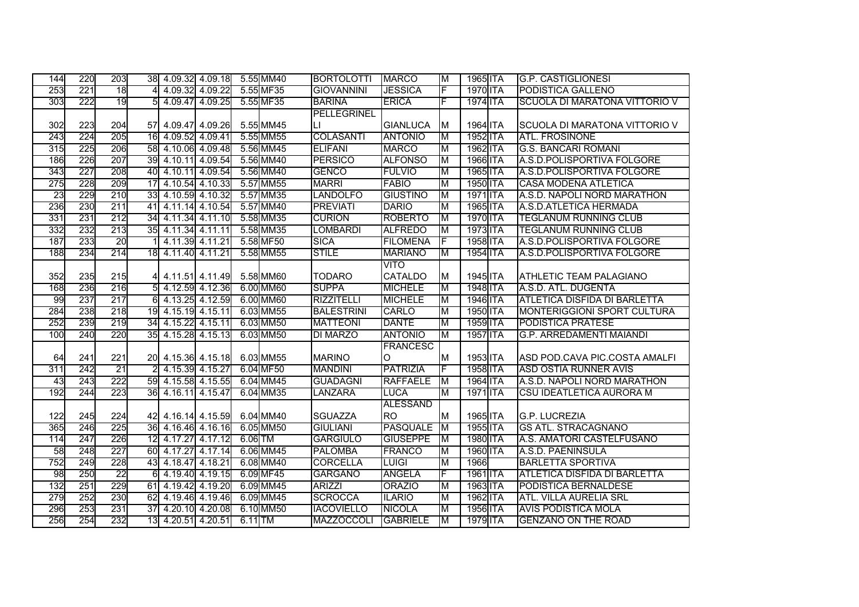| 144 | 220 | 203             |                  | 38 4.09.32 4.09.18 5.55 MM40 |  |           | <b>BORTOLOTTI</b>  | <b>MARCO</b>    | ΙM        | 1965 ITA | <b>G.P. CASTIGLIONESI</b>           |
|-----|-----|-----------------|------------------|------------------------------|--|-----------|--------------------|-----------------|-----------|----------|-------------------------------------|
| 253 | 221 | 18              |                  | 4.09.32 4.09.22              |  | 5.55 MF35 | <b>GIOVANNINI</b>  | <b>JESSICA</b>  | F         | 1970 ITA | <b>PODISTICA GALLENO</b>            |
| 303 | 222 | 19              |                  | 4.09.47 4.09.25              |  | 5.55 MF35 | <b>BARINA</b>      | <b>ERICA</b>    | E         | 1974 ITA | SCUOLA DI MARATONA VITTORIO V       |
|     |     |                 |                  |                              |  |           | <b>PELLEGRINEL</b> |                 |           |          |                                     |
| 302 | 223 | 204             |                  | 57 4.09.47 4.09.26           |  | 5.55 MM45 | IЦ                 | <b>GIANLUCA</b> | M         | 1964 ITA | SCUOLA DI MARATONA VITTORIO V       |
| 243 | 224 | 205             |                  | 16 4.09.52 4.09.41           |  | 5.55 MM55 | <b>COLASANTI</b>   | <b>ANTONIO</b>  | ΙM        | 1952 ITA | <b>ATL. FROSINONE</b>               |
| 315 | 225 | 206             |                  | 58 4.10.06 4.09.48           |  | 5.56 MM45 | <b>ELIFANI</b>     | <b>MARCO</b>    | М         | 1962 ITA | <b>G.S. BANCARI ROMANI</b>          |
| 186 | 226 | 207             |                  | 39 4.10.11 4.09.54           |  | 5.56 MM40 | <b>PERSICO</b>     | <b>ALFONSO</b>  | M         | 1966 ITA | A.S.D.POLISPORTIVA FOLGORE          |
| 343 | 227 | 208             |                  | 40 4.10.11 4.09.54           |  | 5.56 MM40 | <b>GENCO</b>       | <b>FULVIO</b>   | M         | 1965 ITA | A.S.D.POLISPORTIVA FOLGORE          |
| 275 | 228 | 209             | 17               | 4.10.54 4.10.33              |  | 5.57 MM55 | <b>MARRI</b>       | <b>FABIO</b>    | M         | 1950 ITA | <b>CASA MODENA ATLETICA</b>         |
| 23  | 229 | 210             | 33               | 4.10.59 4.10.32              |  | 5.57 MM35 | <b>LANDOLFO</b>    | <b>GIUSTINO</b> | M         | 1971 ITA | A.S.D. NAPOLI NORD MARATHON         |
| 236 | 230 | 211             | 41               | 4.11.14 4.10.54              |  | 5.57 MM40 | <b>PREVIATI</b>    | <b>DARIO</b>    | M         | 1965 ITA | A.S.D.ATLETICA HERMADA              |
| 331 | 231 | 212             | 34               | 4.11.34 4.11.10              |  | 5.58 MM35 | <b>CURION</b>      | <b>ROBERTO</b>  | ΙM        | 1970 ITA | <b>TEGLANUM RUNNING CLUB</b>        |
| 332 | 232 | 213             | 35               | 4.11.34 4.11.11              |  | 5.58 MM35 | <b>LOMBARDI</b>    | <b>ALFREDO</b>  | Iм        | 1973 ITA | <b>TEGLANUM RUNNING CLUB</b>        |
| 187 | 233 | 20              |                  | 4.11.39 4.11.21              |  | 5.58 MF50 | <b>SICA</b>        | <b>FILOMENA</b> |           | 1958 ITA | A.S.D.POLISPORTIVA FOLGORE          |
| 188 | 234 | 214             | 18               | 4.11.40 4.11.21              |  | 5.58 MM55 | <b>STILE</b>       | <b>MARIANO</b>  | M         | 1954 ITA | A.S.D.POLISPORTIVA FOLGORE          |
|     |     |                 |                  |                              |  |           |                    | <b>VITO</b>     |           |          |                                     |
| 352 | 235 | 215             |                  | 4 4.11.51 4.11.49            |  | 5.58 MM60 | <b>TODARO</b>      | <b>CATALDO</b>  | M         | 1945 ITA | <b>ATHLETIC TEAM PALAGIANO</b>      |
| 168 | 236 | 216             | 5Ī               | 4.12.59 4.12.36              |  | 6.00 MM60 | <b>SUPPA</b>       | <b>MICHELE</b>  | M         | 1948 ITA | A.S.D. ATL. DUGENTA                 |
| 99  | 237 | 217             |                  | 6 4.13.25 4.12.59            |  | 6.00 MM60 | <b>RIZZITELLI</b>  | <b>MICHELE</b>  | M         | 1946 ITA | <b>ATLETICA DISFIDA DI BARLETTA</b> |
| 284 | 238 | 218             |                  | 19 4.15.19 4.15.11           |  | 6.03 MM55 | <b>BALESTRINI</b>  | CARLO           | M         | 1950 ITA | <b>MONTERIGGIONI SPORT CULTURA</b>  |
| 252 | 239 | 219             |                  | 34 4.15.22 4.15.11           |  | 6.03 MM50 | <b>MATTEONI</b>    | <b>DANTE</b>    | M         | 1959 ITA | <b>PODISTICA PRATESE</b>            |
| 100 | 240 | 220             |                  | 35 4.15.28 4.15.13           |  | 6.03 MM50 | <b>DI MARZO</b>    | <b>ANTONIO</b>  | M         | 1957 ITA | <b>G.P. ARREDAMENTI MAIANDI</b>     |
|     |     |                 |                  |                              |  |           |                    | <b>FRANCESC</b> |           |          |                                     |
| 64  | 241 | 221             |                  | 20 4.15.36 4.15.18           |  | 6.03 MM55 | <b>MARINO</b>      | O               | M         | 1953 ITA | ASD POD.CAVA PIC.COSTA AMALFI       |
| 311 | 242 | 21              | 2                | 4.15.39 4.15.27              |  | 6.04 MF50 | <b>MANDINI</b>     | <b>PATRIZIA</b> | F         | 1958 ITA | <b>ASD OSTIA RUNNER AVIS</b>        |
| 43  | 243 | 222             |                  | 59 4.15.58 4.15.55           |  | 6.04 MM45 | <b>GUADAGNI</b>    | <b>RAFFAELE</b> | M         | 1964 ITA | A.S.D. NAPOLI NORD MARATHON         |
| 192 | 244 | 223             |                  | 36 4.16.11 4.15.47           |  | 6.04 MM35 | <b>LANZARA</b>     | <b>LUCA</b>     | M         | 1971 ITA | CSU IDEATLETICA AURORA M            |
|     |     |                 |                  |                              |  |           |                    | <b>ALESSAND</b> |           |          |                                     |
| 122 | 245 | 224             |                  | 42 4.16.14 4.15.59           |  | 6.04 MM40 | <b>SGUAZZA</b>     | <b>RO</b>       | M         | 1965 ITA | <b>G.P. LUCREZIA</b>                |
| 365 | 246 | 225             |                  | 36 4.16.46 4.16.16           |  | 6.05 MM50 | <b>GIULIANI</b>    | <b>PASQUALE</b> | <b>IM</b> | 1955 ITA | <b>GS ATL. STRACAGNANO</b>          |
| 114 | 247 | 226             |                  | 12 4.17.27 4.17.12           |  | 6.06 TM   | <b>GARGIULO</b>    | <b>GIUSEPPE</b> | M         | 1980 ITA | A.S. AMATORI CASTELFUSANO           |
| 58  | 248 | 227             | 60               | 4.17.27 4.17.14              |  | 6.06 MM45 | <b>PALOMBA</b>     | <b>FRANCO</b>   | M         | 1960 ITA | A.S.D. PAENINSULA                   |
| 752 | 249 | 228             |                  | 43 4.18.47 4.18.21           |  | 6.08 MM40 | <b>CORCELLA</b>    | <b>LUIGI</b>    | M         | 1966     | <b>BARLETTA SPORTIVA</b>            |
| 98  | 250 | $\overline{22}$ | $6 \overline{6}$ | 4.19.40 4.19.15              |  | 6.09 MF45 | <b>GARGANO</b>     | <b>ANGELA</b>   | F         | 1961 ITA | <b>ATLETICA DISFIDA DI BARLETTA</b> |
| 132 | 251 | 229             |                  | 61 4.19.42 4.19.20           |  | 6.09 MM45 | <b>ARIZZI</b>      | <b>ORAZIO</b>   | M         | 1963 ITA | <b>PODISTICA BERNALDESE</b>         |
| 279 | 252 | 230             |                  | 62 4.19.46 4.19.46           |  | 6.09 MM45 | <b>SCROCCA</b>     | <b>ILARIO</b>   | M         | 1962 ITA | <b>ATL. VILLA AURELIA SRL</b>       |
| 296 | 253 | 231             |                  | 37 4.20.10 4.20.08           |  | 6.10 MM50 | <b>IACOVIELLO</b>  | <b>NICOLA</b>   | M         | 1956 ITA | <b>AVIS PODISTICA MOLA</b>          |
| 256 | 254 | 232             | 13               | 4.20.51 4.20.51              |  | $6.11$ TM | <b>MAZZOCCOLI</b>  | <b>GABRIELE</b> | M         | 1979 ITA | <b>GENZANO ON THE ROAD</b>          |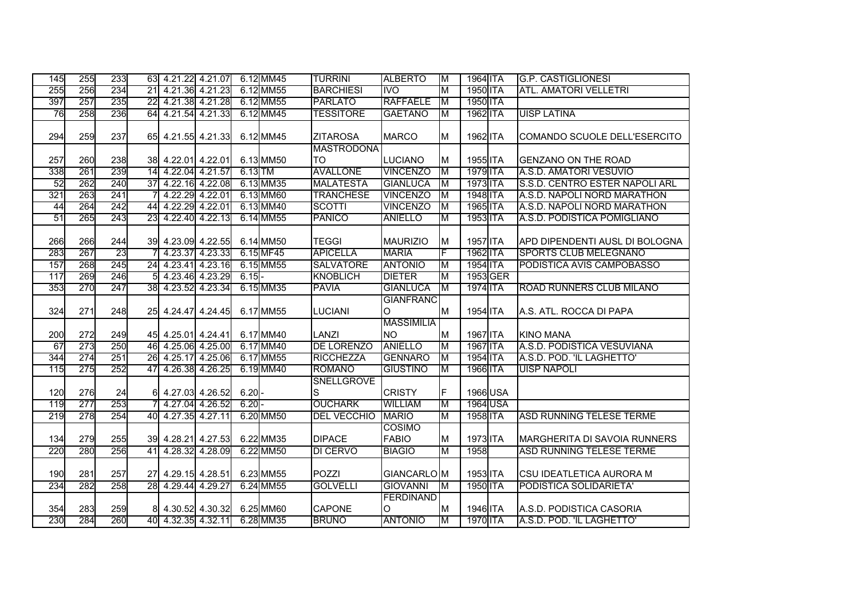| 145 | 255 | 233 |                 |                    | 63 4.21.22 4.21.07 |           | 6.12 MM45 | <b>TURRINI</b>                 | <b>ALBERTO</b>                 | ĪМ | 1964 ITA |                 | <b>G.P. CASTIGLIONESI</b>           |
|-----|-----|-----|-----------------|--------------------|--------------------|-----------|-----------|--------------------------------|--------------------------------|----|----------|-----------------|-------------------------------------|
| 255 | 256 | 234 | $\overline{21}$ |                    | 4.21.36 4.21.23    |           | 6.12 MM55 | <b>BARCHIESI</b>               | <b>IVO</b>                     | M  | 1950 ITA |                 | <b>ATL. AMATORI VELLETRI</b>        |
| 397 | 257 | 235 | $\overline{22}$ |                    | 4.21.38 4.21.28    |           | 6.12 MM55 | <b>PARLATO</b>                 | <b>RAFFAELE</b>                | ĪМ | 1950 ITA |                 |                                     |
| 76  | 258 | 236 |                 |                    | 64 4.21.54 4.21.33 |           | 6.12 MM45 | <b>TESSITORE</b>               | <b>GAETANO</b>                 | M  | 1962 ITA |                 | <b>UISP LATINA</b>                  |
| 294 | 259 | 237 |                 |                    | 65 4.21.55 4.21.33 |           | 6.12 MM45 | <b>ZITAROSA</b>                | <b>MARCO</b>                   | M  | 1962 ITA |                 | COMANDO SCUOLE DELL'ESERCITO        |
| 257 | 260 | 238 |                 | 38 4.22.01 4.22.01 |                    |           | 6.13 MM50 | <b>MASTRODONA</b><br><b>TO</b> | <b>LUCIANO</b>                 | M  | 1955 ITA |                 | <b>GENZANO ON THE ROAD</b>          |
| 338 | 261 | 239 |                 | 14 4.22.04 4.21.57 |                    | $6.13$ TM |           | <b>AVALLONE</b>                | <b>VINCENZO</b>                | M  | 1979 ITA |                 | A.S.D. AMATORI VESUVIO              |
| 52  | 262 | 240 | 37              |                    | 4.22.16 4.22.08    |           | 6.13 MM35 | <b>MALATESTA</b>               | <b>GIANLUCA</b>                | M  | 1973 ITA |                 | S.S.D. CENTRO ESTER NAPOLI ARL      |
| 321 | 263 | 241 |                 |                    | 4.22.29 4.22.01    |           | 6.13 MM60 | <b>TRANCHESE</b>               | <b>VINCENZO</b>                | M  | 1948 ITA |                 | A.S.D. NAPOLI NORD MARATHON         |
| 44  | 264 | 242 | 44              | 4.22.29 4.22.01    |                    |           | 6.13 MM40 | <b>SCOTTI</b>                  | <b>VINCENZO</b>                | M  | 1965 ITA |                 | A.S.D. NAPOLI NORD MARATHON         |
| 51  | 265 | 243 | 23              |                    | 4.22.40 4.22.13    |           | 6.14 MM55 | <b>PANICO</b>                  | <b>ANIELLO</b>                 | M  | 1953 ITA |                 | A.S.D. PODISTICA POMIGLIANO         |
| 266 | 266 | 244 |                 |                    | 39 4.23.09 4.22.55 |           | 6.14 MM50 | <b>TEGGI</b>                   | <b>MAURIZIO</b>                | M  | 1957 ITA |                 | APD DIPENDENTI AUSL DI BOLOGNA      |
| 283 | 267 | 23  |                 |                    | 4.23.37 4.23.33    |           | 6.15 MF45 | <b>APICELLA</b>                | <b>MARIA</b>                   | F  | 1962 ITA |                 | SPORTS CLUB MELEGNANO               |
| 157 | 268 | 245 |                 |                    | 24 4.23.41 4.23.16 |           | 6.15 MM55 | <b>SALVATORE</b>               | <b>ANTONIO</b>                 | M  | 1954 ITA |                 | PODISTICA AVIS CAMPOBASSO           |
| 117 | 269 | 246 |                 | 5 4.23.46 4.23.29  |                    | $6.15 -$  |           | <b>KNOBLICH</b>                | <b>DIETER</b>                  | M  |          | 1953 GER        |                                     |
| 353 | 270 | 247 |                 |                    | 38 4.23.52 4.23.34 |           | 6.15 MM35 | <b>PAVIA</b>                   | <b>GIANLUCA</b>                | M  | 1974 ITA |                 | ROAD RUNNERS CLUB MILANO            |
|     |     |     |                 |                    |                    |           |           |                                | <b>GIANFRANC</b>               |    |          |                 |                                     |
| 324 | 271 | 248 |                 |                    | 25 4.24.47 4.24.45 |           | 6.17 MM55 | <b>LUCIANI</b>                 | O                              | M  | 1954 ITA |                 | A.S. ATL. ROCCA DI PAPA             |
| 200 | 272 | 249 |                 | 45 4.25.01 4.24.41 |                    |           | 6.17 MM40 | LANZI                          | <b>MASSIMILIA</b><br><b>NO</b> | M  | 1967 ITA |                 | <b>KINO MANA</b>                    |
| 67  | 273 | 250 |                 | 46 4.25.06 4.25.00 |                    |           | 6.17 MM40 | <b>DE LORENZO</b>              | <b>ANIELLO</b>                 | M  | 1967 ITA |                 | A.S.D. PODISTICA VESUVIANA          |
| 344 | 274 | 251 | 26              |                    | 4.25.17 4.25.06    |           | 6.17 MM55 | <b>RICCHEZZA</b>               | <b>GENNARO</b>                 | M  | 1954 ITA |                 | A.S.D. POD. 'IL LAGHETTO'           |
| 115 | 275 | 252 | 47              |                    | 4.26.38 4.26.25    |           | 6.19 MM40 | <b>ROMANO</b>                  | <b>GIUSTINO</b>                | M  | 1966 ITA |                 | <b>UISP NAPOLI</b>                  |
| 120 | 276 | 24  |                 | 6 4.27.03 4.26.52  |                    | 6.20      |           | <b>SNELLGROVE</b><br>S         | <b>CRISTY</b>                  | F  |          | 1966 USA        |                                     |
| 119 | 277 | 253 |                 |                    | 4.27.04 4.26.52    | $6.20 -$  |           | <b>OUCHARK</b>                 | <b>WILLIAM</b>                 | M  |          | <b>1964 USA</b> |                                     |
| 219 | 278 | 254 |                 | 40 4.27.35 4.27.11 |                    |           | 6.20 MM50 | <b>DEL VECCHIO</b>             | <b>MARIO</b>                   | M  | 1958 ITA |                 | <b>ASD RUNNING TELESE TERME</b>     |
| 134 | 279 | 255 |                 |                    | 39 4.28.21 4.27.53 |           | 6.22 MM35 | <b>DIPACE</b>                  | <b>COSIMO</b><br><b>FABIO</b>  | M  | 1973 ITA |                 | <b>MARGHERITA DI SAVOIA RUNNERS</b> |
| 220 | 280 | 256 |                 | 41 4.28.32 4.28.09 |                    |           | 6.22 MM50 | DI CERVO                       | <b>BIAGIO</b>                  | M  | 1958     |                 | <b>ASD RUNNING TELESE TERME</b>     |
| 190 | 281 | 257 |                 | 27 4.29.15 4.28.51 |                    |           | 6.23 MM55 | POZZI                          | GIANCARLO M                    |    | 1953 ITA |                 | CSU IDEATLETICA AURORA M            |
| 234 | 282 | 258 |                 | 28 4.29.44 4.29.27 |                    |           | 6.24 MM55 | <b>GOLVELLI</b>                | <b>GIOVANNI</b>                | M  | 1950 ITA |                 | PODISTICA SOLIDARIETA'              |
| 354 | 283 | 259 | 8               |                    | 4.30.52 4.30.32    |           | 6.25 MM60 | CAPONE                         | <b>FERDINAND</b><br>O          | M  | 1946 ITA |                 | A.S.D. PODISTICA CASORIA            |
| 230 | 284 | 260 |                 | 40 4.32.35 4.32.11 |                    |           | 6.28 MM35 | <b>BRUNO</b>                   | <b>ANTONIO</b>                 | M  | 1970 ITA |                 | A.S.D. POD. 'IL LAGHETTO'           |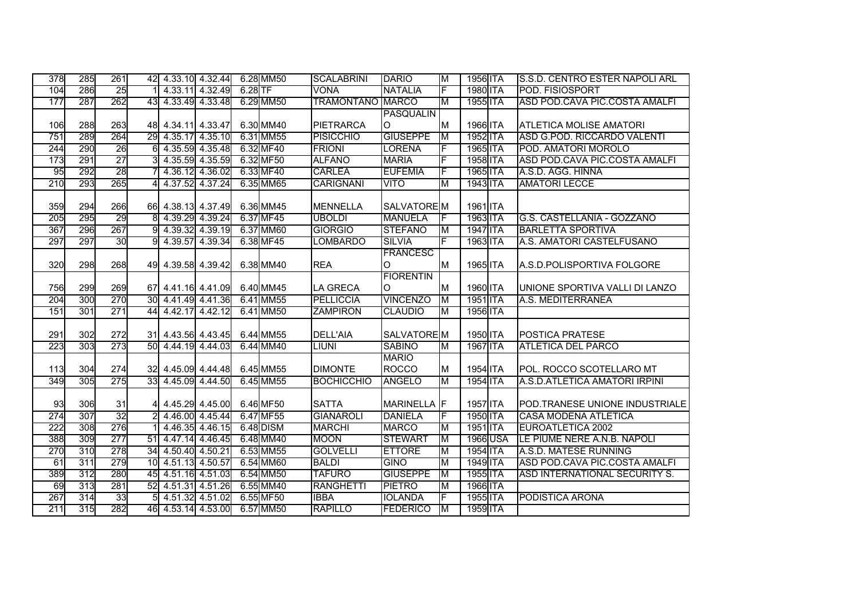| 378 | 285 | 261             |                 |                    | 42 4.33.10 4.32.44 |           | 6.28 MM50 | <b>SCALABRINI</b>       | <b>DARIO</b>     | M  | 1956 ITA | S.S.D. CENTRO ESTER NAPOLI ARL |
|-----|-----|-----------------|-----------------|--------------------|--------------------|-----------|-----------|-------------------------|------------------|----|----------|--------------------------------|
| 104 | 286 | 25              |                 |                    | 4.33.11 4.32.49    | $6.28$ TF |           | <b>VONA</b>             | <b>NATALIA</b>   | F  | 1980 ITA | POD. FISIOSPORT                |
| 177 | 287 | 262             |                 |                    | 43 4.33.49 4.33.48 |           | 6.29 MM50 | <b>TRAMONTANO MARCO</b> |                  | M  | 1955 ITA | ASD POD.CAVA PIC.COSTA AMALFI  |
|     |     |                 |                 |                    |                    |           |           |                         | <b>PASQUALIN</b> |    |          |                                |
| 106 | 288 | 263             |                 |                    | 48 4.34.11 4.33.47 |           | 6.30 MM40 | PIETRARCA               | O                | M  | 1966 ITA | <b>ATLETICA MOLISE AMATORI</b> |
| 751 | 289 | 264             |                 |                    | 29 4.35.17 4.35.10 |           | 6.31 MM55 | <b>PISICCHIO</b>        | <b>GIUSEPPE</b>  | M  | 1952 ITA | ASD G.POD. RICCARDO VALENTI    |
| 244 | 290 | 26              | 61              |                    | 4.35.59 4.35.48    |           | 6.32 MF40 | <b>FRIONI</b>           | <b>LORENA</b>    | E  | 1965 ITA | POD. AMATORI MOROLO            |
| 173 | 291 | $\overline{27}$ | 3               |                    | 4.35.59 4.35.59    |           | 6.32 MF50 | <b>ALFANO</b>           | <b>MARIA</b>     |    | 1958 ITA | ASD POD.CAVA PIC.COSTA AMALFI  |
| 95  | 292 | 28              |                 |                    | 4.36.12 4.36.02    |           | 6.33 MF40 | <b>CARLEA</b>           | <b>EUFEMIA</b>   | F  | 1965 ITA | A.S.D. AGG. HINNA              |
| 210 | 293 | 265             |                 |                    | 4.37.52 4.37.24    |           | 6.35 MM65 | <b>CARIGNANI</b>        | <b>VITO</b>      | M  | 1943 ITA | <b>AMATORI LECCE</b>           |
|     |     |                 |                 |                    |                    |           |           |                         |                  |    |          |                                |
| 359 | 294 | 266             |                 |                    | 66 4.38.13 4.37.49 |           | 6.36 MM45 | <b>MENNELLA</b>         | SALVATORE M      |    | 1961 ITA |                                |
| 205 | 295 | 29              | 8               |                    | 4.39.29 4.39.24    |           | 6.37 MF45 | <b>UBOLDI</b>           | <b>MANUELA</b>   | IF | 1963 ITA | G.S. CASTELLANIA - GOZZANO     |
| 367 | 296 | 267             |                 |                    | 4.39.32 4.39.19    |           | 6.37 MM60 | <b>GIORGIO</b>          | <b>STEFANO</b>   | M  | 1947 ITA | <b>BARLETTA SPORTIVA</b>       |
| 297 | 297 | 30              |                 |                    | 4.39.57 4.39.34    |           | 6.38 MF45 | <b>LOMBARDO</b>         | <b>SILVIA</b>    | F  | 1963 ITA | A.S. AMATORI CASTELFUSANO      |
|     |     |                 |                 |                    |                    |           |           |                         | <b>FRANCESC</b>  |    |          |                                |
| 320 | 298 | 268             |                 |                    | 49 4.39.58 4.39.42 |           | 6.38 MM40 | <b>REA</b>              | O                | IМ | 1965 ITA | A.S.D.POLISPORTIVA FOLGORE     |
|     |     |                 |                 |                    |                    |           |           |                         | <b>FIORENTIN</b> |    |          |                                |
| 756 | 299 | 269             |                 |                    | 67 4.41.16 4.41.09 |           | 6.40 MM45 | <b>LA GRECA</b>         | O                | M  | 1960 ITA | UNIONE SPORTIVA VALLI DI LANZO |
| 204 | 300 | 270             | 30 <sup>°</sup> |                    | 4.41.49 4.41.36    |           | 6.41 MM55 | <b>PELLICCIA</b>        | <b>VINCENZO</b>  | M  | 1951 ITA | A.S. MEDITERRANEA              |
| 151 | 301 | 271             | 44              |                    | 4.42.17 4.42.12    |           | 6.41 MM50 | <b>ZAMPIRON</b>         | <b>CLAUDIO</b>   | M  | 1956 ITA |                                |
|     |     |                 |                 |                    |                    |           |           |                         |                  |    |          |                                |
| 291 | 302 | 272             |                 |                    | 31 4.43.56 4.43.45 |           | 6.44 MM55 | <b>DELL'AIA</b>         | SALVATORE M      |    | 1950 ITA | POSTICA PRATESE                |
| 223 | 303 | 273             | 50 <sup>°</sup> |                    | 4.44.19 4.44.03    |           | 6.44 MM40 | <b>LIUNI</b>            | <b>SABINO</b>    | M  | 1967 ITA | <b>ATLETICA DEL PARCO</b>      |
|     |     |                 |                 |                    |                    |           |           |                         | <b>MARIO</b>     |    |          |                                |
| 113 | 304 | 274             |                 |                    | 32 4.45.09 4.44.48 |           | 6.45 MM55 | <b>DIMONTE</b>          | <b>ROCCO</b>     | M  | 1954 ITA | POL. ROCCO SCOTELLARO MT       |
| 349 | 305 | 275             |                 |                    | 33 4.45.09 4.44.50 |           | 6.45 MM55 | <b>BOCHICCHIO</b>       | <b>ANGELO</b>    | M  | 1954 ITA | A.S.D.ATLETICA AMATORI IRPINI  |
|     |     |                 |                 |                    |                    |           |           |                         |                  |    |          |                                |
| 93  | 306 | 31              |                 |                    | 4.45.29 4.45.00    |           | 6.46 MF50 | <b>SATTA</b>            | MARINELLA F      |    | 1957 ITA | POD.TRANESE UNIONE INDUSTRIALE |
| 274 | 307 | 32              |                 |                    | 4.46.00 4.45.44    |           | 6.47 MF55 | <b>GIANAROLI</b>        | <b>DANIELA</b>   | IF | 1950 ITA | <b>CASA MODENA ATLETICA</b>    |
| 222 | 308 | 276             |                 |                    | 4.46.35 4.46.15    |           | 6.48 DISM | <b>MARCHI</b>           | <b>MARCO</b>     | M  | 1951 ITA | EUROATLETICA 2002              |
| 388 | 309 | 277             |                 |                    | 51 4.47.14 4.46.45 |           | 6.48 MM40 | <b>MOON</b>             | <b>STEWART</b>   | M  | 1966 USA | LE PIUME NERE A.N.B. NAPOLI    |
| 270 | 310 | 278             |                 |                    | 34 4.50.40 4.50.21 |           | 6.53 MM55 | <b>GOLVELLI</b>         | <b>ETTORE</b>    | M  | 1954 ITA | A.S.D. MATESE RUNNING          |
| 61  | 311 | 279             |                 | 10 4.51.13 4.50.57 |                    |           | 6.54 MM60 | <b>BALDI</b>            | <b>GINO</b>      | M  | 1949 ITA | ASD POD.CAVA PIC.COSTA AMALFI  |
| 389 | 312 | 280             |                 |                    | 45 4.51.16 4.51.03 |           | 6.54 MM50 | <b>TAFURO</b>           | <b>GIUSEPPE</b>  | M  | 1955 ITA | ASD INTERNATIONAL SECURITY S.  |
| 69  | 313 | 281             |                 |                    | 52 4.51.31 4.51.26 |           | 6.55 MM40 | <b>RANGHETTI</b>        | <b>PIETRO</b>    | M  | 1966 ITA |                                |
| 267 | 314 | 33              | 5               |                    | 4.51.32 4.51.02    |           | 6.55 MF50 | <b>IBBA</b>             | <b>IOLANDA</b>   | F  | 1955 ITA | PODISTICA ARONA                |
| 211 | 315 | 282             |                 |                    | 46 4.53.14 4.53.00 |           | 6.57 MM50 | <b>RAPILLO</b>          | <b>FEDERICO</b>  | M  | 1959 ITA |                                |